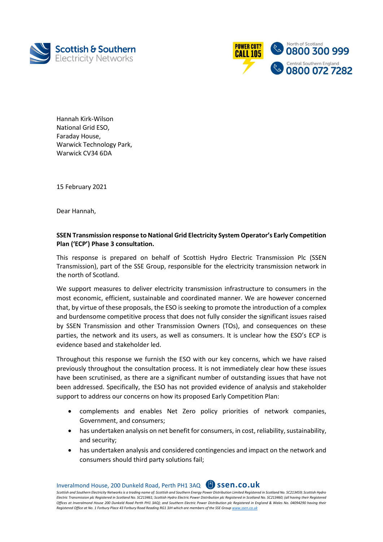



Hannah Kirk-Wilson National Grid ESO, Faraday House, Warwick Technology Park, Warwick CV34 6DA

15 February 2021

Dear Hannah,

## **SSEN Transmission response to National Grid Electricity System Operator's Early Competition Plan ('ECP') Phase 3 consultation.**

This response is prepared on behalf of Scottish Hydro Electric Transmission Plc (SSEN Transmission), part of the SSE Group, responsible for the electricity transmission network in the north of Scotland.

We support measures to deliver electricity transmission infrastructure to consumers in the most economic, efficient, sustainable and coordinated manner. We are however concerned that, by virtue of these proposals, the ESO is seeking to promote the introduction of a complex and burdensome competitive process that does not fully consider the significant issues raised by SSEN Transmission and other Transmission Owners (TOs), and consequences on these parties, the network and its users, as well as consumers. It is unclear how the ESO's ECP is evidence based and stakeholder led.

Throughout this response we furnish the ESO with our key concerns, which we have raised previously throughout the consultation process. It is not immediately clear how these issues have been scrutinised, as there are a significant number of outstanding issues that have not been addressed. Specifically, the ESO has not provided evidence of analysis and stakeholder support to address our concerns on how its proposed Early Competition Plan:

- complements and enables Net Zero policy priorities of network companies, Government, and consumers;
- has undertaken analysis on net benefit for consumers, in cost, reliability, sustainability, and security;
- has undertaken analysis and considered contingencies and impact on the network and consumers should third party solutions fail;

Inveralmond House, 200 Dunkeld Road, Perth PH1 3AQ **ssen.co.uk**

*Scottish and Southern Electricity Networks is a trading name of: Scottish and Southern Energy Power Distribution Limited Registered in Scotland No. SC213459; Scottish Hydro*  Electric Transmission plc Registered in Scotland No. SC213461; Scottish Hydro Electric Power Distribution plc Registered in Scotland No. SC213460; (all having their Registered *Offices at Inveralmond House 200 Dunkeld Road Perth PH1 3AQ); and Southern Electric Power Distribution plc Registered in England & Wales No. 04094290 having their Registered Office at No. 1 Forbury Place 43 Forbury Road Reading RG1 3JH which are members of the SSE Grou[p www.ssen.co.uk](http://www.ssen.co.uk/)*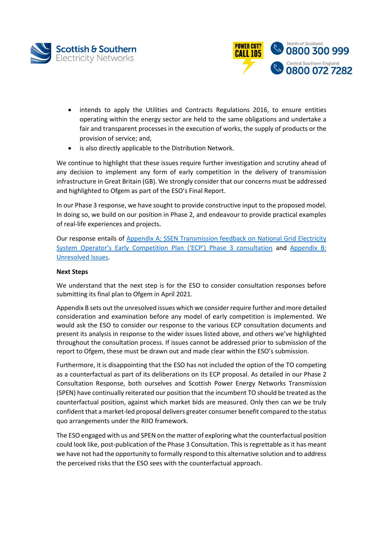



- intends to apply the Utilities and Contracts Regulations 2016, to ensure entities operating within the energy sector are held to the same obligations and undertake a fair and transparent processes in the execution of works, the supply of products or the provision of service; and,
- is also directly applicable to the Distribution Network.

We continue to highlight that these issues require further investigation and scrutiny ahead of any decision to implement any form of early competition in the delivery of transmission infrastructure in Great Britain (GB). We strongly consider that our concerns must be addressed and highlighted to Ofgem as part of the ESO's Final Report.

In our Phase 3 response, we have sought to provide constructive input to the proposed model. In doing so, we build on our position in Phase 2, and endeavour to provide practical examples of real-life experiences and projects.

Our response entails of [Appendix A: SSEN Transmission feedback on National Grid Electricity](#page-3-0)  [System Operator's Early Competition Plan \('ECP'\) Phase 3 consultation](#page-3-0) and [Appendix B:](#page-53-0) [Unresolved Issues.](#page-53-0)

#### **Next Steps**

We understand that the next step is for the ESO to consider consultation responses before submitting its final plan to Ofgem in April 2021.

Appendix B sets out the unresolved issues which we consider require further and more detailed consideration and examination before any model of early competition is implemented. We would ask the ESO to consider our response to the various ECP consultation documents and present its analysis in response to the wider issues listed above, and others we've highlighted throughout the consultation process. If issues cannot be addressed prior to submission of the report to Ofgem, these must be drawn out and made clear within the ESO's submission.

Furthermore, it is disappointing that the ESO has not included the option of the TO competing as a counterfactual as part of its deliberations on its ECP proposal. As detailed in our Phase 2 Consultation Response, both ourselves and Scottish Power Energy Networks Transmission (SPEN) have continually reiterated our position that the incumbent TO should be treated as the counterfactual position, against which market bids are measured. Only then can we be truly confident that a market-led proposal delivers greater consumer benefit compared to the status quo arrangements under the RIIO framework.

The ESO engaged with us and SPEN on the matter of exploring what the counterfactual position could look like, post-publication of the Phase 3 Consultation. This is regrettable as it has meant we have not had the opportunity to formally respond to this alternative solution and to address the perceived risks that the ESO sees with the counterfactual approach.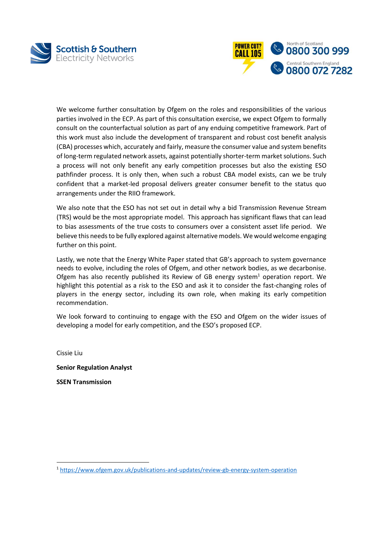



We welcome further consultation by Ofgem on the roles and responsibilities of the various parties involved in the ECP. As part of this consultation exercise, we expect Ofgem to formally consult on the counterfactual solution as part of any enduing competitive framework. Part of this work must also include the development of transparent and robust cost benefit analysis (CBA) processes which, accurately and fairly, measure the consumer value and system benefits of long-term regulated network assets, against potentially shorter-term market solutions. Such a process will not only benefit any early competition processes but also the existing ESO pathfinder process. It is only then, when such a robust CBA model exists, can we be truly confident that a market-led proposal delivers greater consumer benefit to the status quo arrangements under the RIIO framework.

We also note that the ESO has not set out in detail why a bid Transmission Revenue Stream (TRS) would be the most appropriate model. This approach has significant flaws that can lead to bias assessments of the true costs to consumers over a consistent asset life period. We believe this needs to be fully explored against alternative models. We would welcome engaging further on this point.

Lastly, we note that the Energy White Paper stated that GB's approach to system governance needs to evolve, including the roles of Ofgem, and other network bodies, as we decarbonise. Ofgem has also recently published its Review of GB energy system<sup>1</sup> operation report. We highlight this potential as a risk to the ESO and ask it to consider the fast-changing roles of players in the energy sector, including its own role, when making its early competition recommendation.

We look forward to continuing to engage with the ESO and Ofgem on the wider issues of developing a model for early competition, and the ESO's proposed ECP.

Cissie Liu

l

**Senior Regulation Analyst**

**SSEN Transmission**

<sup>1</sup> <https://www.ofgem.gov.uk/publications-and-updates/review-gb-energy-system-operation>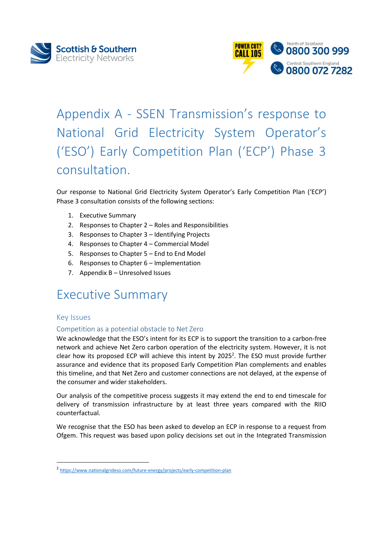



# <span id="page-3-0"></span>Appendix A - SSEN Transmission's response to National Grid Electricity System Operator's ('ESO') Early Competition Plan ('ECP') Phase 3 consultation.

Our response to National Grid Electricity System Operator's Early Competition Plan ('ECP') Phase 3 consultation consists of the following sections:

- 1. Executive Summary
- 2. Responses to Chapter 2 Roles and Responsibilities
- 3. Responses to Chapter 3 Identifying Projects
- 4. Responses to Chapter 4 Commercial Model
- 5. Responses to Chapter 5 End to End Model
- 6. Responses to Chapter 6 Implementation
- 7. Appendix B Unresolved Issues

## Executive Summary

## Key Issues

l

#### Competition as a potential obstacle to Net Zero

We acknowledge that the ESO's intent for its ECP is to support the transition to a carbon-free network and achieve Net Zero carbon operation of the electricity system. However, it is not clear how its proposed ECP will achieve this intent by 2025<sup>2</sup>. The ESO must provide further assurance and evidence that its proposed Early Competition Plan complements and enables this timeline, and that Net Zero and customer connections are not delayed, at the expense of the consumer and wider stakeholders.

Our analysis of the competitive process suggests it may extend the end to end timescale for delivery of transmission infrastructure by at least three years compared with the RIIO counterfactual.

We recognise that the ESO has been asked to develop an ECP in response to a request from Ofgem. This request was based upon policy decisions set out in the Integrated Transmission

<sup>&</sup>lt;sup>2</sup> <https://www.nationalgrideso.com/future-energy/projects/early-competition-plan>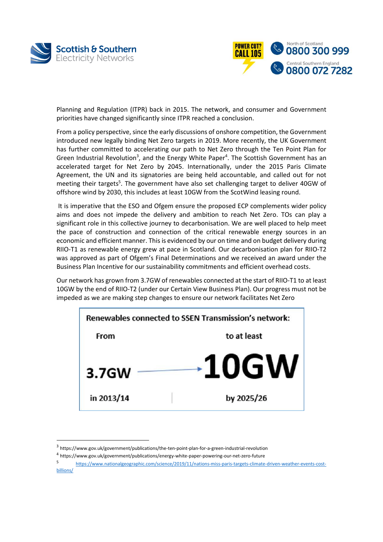

 $\overline{a}$ 



Planning and Regulation (ITPR) back in 2015. The network, and consumer and Government priorities have changed significantly since ITPR reached a conclusion.

From a policy perspective, since the early discussions of onshore competition, the Government introduced new legally binding Net Zero targets in 2019. More recently, the UK Government has further committed to accelerating our path to Net Zero through the Ten Point Plan for Green Industrial Revolution<sup>3</sup>, and the Energy White Paper<sup>4</sup>. The Scottish Government has an accelerated target for Net Zero by 2045. Internationally, under the 2015 Paris Climate Agreement, the UN and its signatories are being held accountable, and called out for not meeting their targets<sup>5</sup>. The government have also set challenging target to deliver 40GW of offshore wind by 2030, this includes at least 10GW from the ScotWind leasing round.

It is imperative that the ESO and Ofgem ensure the proposed ECP complements wider policy aims and does not impede the delivery and ambition to reach Net Zero. TOs can play a significant role in this collective journey to decarbonisation. We are well placed to help meet the pace of construction and connection of the critical renewable energy sources in an economic and efficient manner. This is evidenced by our on time and on budget delivery during RIIO-T1 as renewable energy grew at pace in Scotland. Our decarbonisation plan for RIIO-T2 was approved as part of Ofgem's Final Determinations and we received an award under the Business Plan Incentive for our sustainability commitments and efficient overhead costs.

Our network has grown from 3.7GW of renewables connected at the start of RIIO-T1 to at least 10GW by the end of RIIO-T2 (under our Certain View Business Plan). Our progress must not be impeded as we are making step changes to ensure our network facilitates Net Zero



<sup>3</sup> https://www.gov.uk/government/publications/the-ten-point-plan-for-a-green-industrial-revolution

<sup>4</sup> https://www.gov.uk/government/publications/energy-white-paper-powering-our-net-zero-future

<sup>5</sup> [https://www.nationalgeographic.com/science/2019/11/nations-miss-paris-targets-climate-driven-weather-events-cost](https://www.nationalgeographic.com/science/2019/11/nations-miss-paris-targets-climate-driven-weather-events-cost-billions/)[billions/](https://www.nationalgeographic.com/science/2019/11/nations-miss-paris-targets-climate-driven-weather-events-cost-billions/)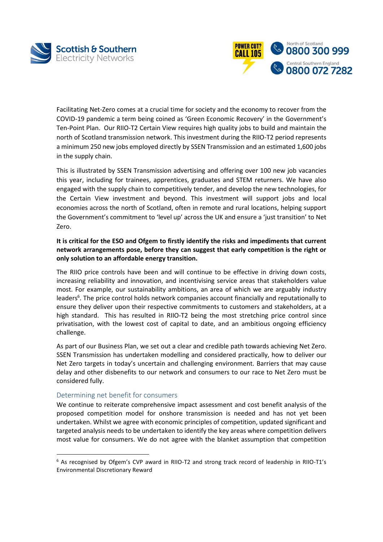



Facilitating Net-Zero comes at a crucial time for society and the economy to recover from the COVID-19 pandemic a term being coined as 'Green Economic Recovery' in the Government's Ten-Point Plan. Our RIIO-T2 Certain View requires high quality jobs to build and maintain the north of Scotland transmission network. This investment during the RIIO-T2 period represents a minimum 250 new jobs employed directly by SSEN Transmission and an estimated 1,600 jobs in the supply chain.

This is illustrated by SSEN Transmission advertising and offering over 100 new job vacancies this year, including for trainees, apprentices, graduates and STEM returners. We have also engaged with the supply chain to competitively tender, and develop the new technologies, for the Certain View investment and beyond. This investment will support jobs and local economies across the north of Scotland, often in remote and rural locations, helping support the Government's commitment to 'level up' across the UK and ensure a 'just transition' to Net Zero.

### **It is critical for the ESO and Ofgem to firstly identify the risks and impediments that current network arrangements pose, before they can suggest that early competition is the right or only solution to an affordable energy transition.**

The RIIO price controls have been and will continue to be effective in driving down costs, increasing reliability and innovation, and incentivising service areas that stakeholders value most. For example, our sustainability ambitions, an area of which we are arguably industry leaders<sup>6</sup>. The price control holds network companies account financially and reputationally to ensure they deliver upon their respective commitments to customers and stakeholders, at a high standard. This has resulted in RIIO-T2 being the most stretching price control since privatisation, with the lowest cost of capital to date, and an ambitious ongoing efficiency challenge.

As part of our Business Plan, we set out a clear and credible path towards achieving Net Zero. SSEN Transmission has undertaken modelling and considered practically, how to deliver our Net Zero targets in today's uncertain and challenging environment. Barriers that may cause delay and other disbenefits to our network and consumers to our race to Net Zero must be considered fully.

#### Determining net benefit for consumers

 $\overline{\phantom{a}}$ 

We continue to reiterate comprehensive impact assessment and cost benefit analysis of the proposed competition model for onshore transmission is needed and has not yet been undertaken. Whilst we agree with economic principles of competition, updated significant and targeted analysis needs to be undertaken to identify the key areas where competition delivers most value for consumers. We do not agree with the blanket assumption that competition

<sup>&</sup>lt;sup>6</sup> As recognised by Ofgem's CVP award in RIIO-T2 and strong track record of leadership in RIIO-T1's Environmental Discretionary Reward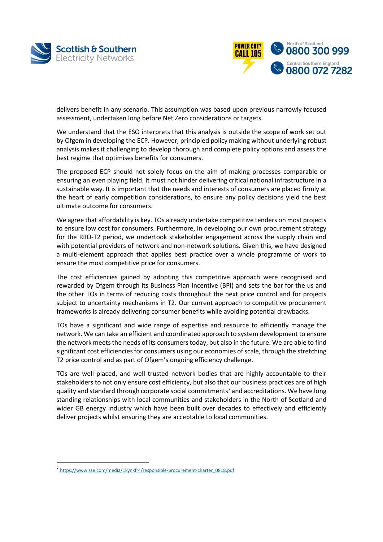



delivers benefit in any scenario. This assumption was based upon previous narrowly focused assessment, undertaken long before Net Zero considerations or targets.

We understand that the ESO interprets that this analysis is outside the scope of work set out by Ofgem in developing the ECP. However, principled policy making without underlying robust analysis makes it challenging to develop thorough and complete policy options and assess the best regime that optimises benefits for consumers.

The proposed ECP should not solely focus on the aim of making processes comparable or ensuring an even playing field. It must not hinder delivering critical national infrastructure in a sustainable way. It is important that the needs and interests of consumers are placed firmly at the heart of early competition considerations, to ensure any policy decisions yield the best ultimate outcome for consumers.

We agree that affordability is key. TOs already undertake competitive tenders on most projects to ensure low cost for consumers. Furthermore, in developing our own procurement strategy for the RIIO-T2 period, we undertook stakeholder engagement across the supply chain and with potential providers of network and non-network solutions. Given this, we have designed a multi-element approach that applies best practice over a whole programme of work to ensure the most competitive price for consumers.

The cost efficiencies gained by adopting this competitive approach were recognised and rewarded by Ofgem through its Business Plan Incentive (BPI) and sets the bar for the us and the other TOs in terms of reducing costs throughout the next price control and for projects subject to uncertainty mechanisms in T2. Our current approach to competitive procurement frameworks is already delivering consumer benefits while avoiding potential drawbacks.

TOs have a significant and wide range of expertise and resource to efficiently manage the network. We can take an efficient and coordinated approach to system development to ensure the network meets the needs of its consumers today, but also in the future. We are able to find significant cost efficiencies for consumers using our economies of scale, through the stretching T2 price control and as part of Ofgem's ongoing efficiency challenge.

TOs are well placed, and well trusted network bodies that are highly accountable to their stakeholders to not only ensure cost efficiency, but also that our business practices are of high quality and standard through corporate social commitments<sup>7</sup> and accreditations. We have long standing relationships with local communities and stakeholders in the North of Scotland and wider GB energy industry which have been built over decades to effectively and efficiently deliver projects whilst ensuring they are acceptable to local communities.

l

<sup>7</sup> [https://www.sse.com/media/1kynkfr4/responsible-procurement-charter\\_0818.pdf](https://www.sse.com/media/1kynkfr4/responsible-procurement-charter_0818.pdf)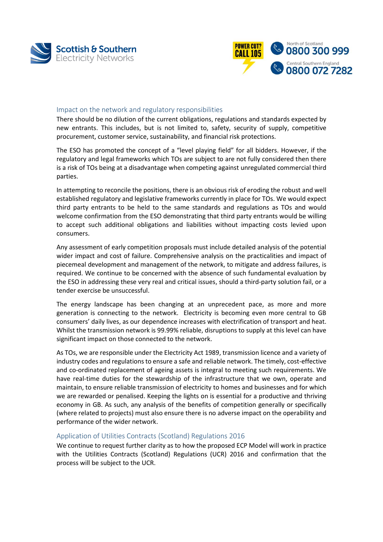



#### Impact on the network and regulatory responsibilities

There should be no dilution of the current obligations, regulations and standards expected by new entrants. This includes, but is not limited to, safety, security of supply, competitive procurement, customer service, sustainability, and financial risk protections.

The ESO has promoted the concept of a "level playing field" for all bidders. However, if the regulatory and legal frameworks which TOs are subject to are not fully considered then there is a risk of TOs being at a disadvantage when competing against unregulated commercial third parties.

In attempting to reconcile the positions, there is an obvious risk of eroding the robust and well established regulatory and legislative frameworks currently in place for TOs. We would expect third party entrants to be held to the same standards and regulations as TOs and would welcome confirmation from the ESO demonstrating that third party entrants would be willing to accept such additional obligations and liabilities without impacting costs levied upon consumers.

Any assessment of early competition proposals must include detailed analysis of the potential wider impact and cost of failure. Comprehensive analysis on the practicalities and impact of piecemeal development and management of the network, to mitigate and address failures, is required. We continue to be concerned with the absence of such fundamental evaluation by the ESO in addressing these very real and critical issues, should a third-party solution fail, or a tender exercise be unsuccessful.

The energy landscape has been changing at an unprecedent pace, as more and more generation is connecting to the network. Electricity is becoming even more central to GB consumers' daily lives, as our dependence increases with electrification of transport and heat. Whilst the transmission network is 99.99% reliable, disruptions to supply at this level can have significant impact on those connected to the network.

As TOs, we are responsible under the Electricity Act 1989, transmission licence and a variety of industry codes and regulations to ensure a safe and reliable network. The timely, cost-effective and co-ordinated replacement of ageing assets is integral to meeting such requirements. We have real-time duties for the stewardship of the infrastructure that we own, operate and maintain, to ensure reliable transmission of electricity to homes and businesses and for which we are rewarded or penalised. Keeping the lights on is essential for a productive and thriving economy in GB. As such, any analysis of the benefits of competition generally or specifically (where related to projects) must also ensure there is no adverse impact on the operability and performance of the wider network.

#### Application of Utilities Contracts (Scotland) Regulations 2016

We continue to request further clarity as to how the proposed ECP Model will work in practice with the Utilities Contracts (Scotland) Regulations (UCR) 2016 and confirmation that the process will be subject to the UCR.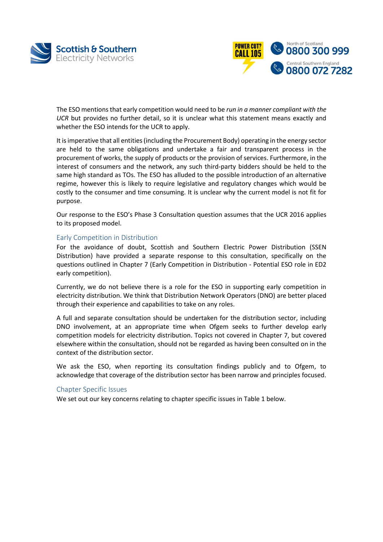



The ESO mentions that early competition would need to be *run in a manner compliant with the UCR* but provides no further detail, so it is unclear what this statement means exactly and whether the ESO intends for the UCR to apply.

It is imperative that all entities (including the Procurement Body) operating in the energy sector are held to the same obligations and undertake a fair and transparent process in the procurement of works, the supply of products or the provision of services. Furthermore, in the interest of consumers and the network, any such third-party bidders should be held to the same high standard as TOs. The ESO has alluded to the possible introduction of an alternative regime, however this is likely to require legislative and regulatory changes which would be costly to the consumer and time consuming. It is unclear why the current model is not fit for purpose.

Our response to the ESO's Phase 3 Consultation question assumes that the UCR 2016 applies to its proposed model.

#### Early Competition in Distribution

For the avoidance of doubt, Scottish and Southern Electric Power Distribution (SSEN Distribution) have provided a separate response to this consultation, specifically on the questions outlined in Chapter 7 (Early Competition in Distribution - Potential ESO role in ED2 early competition).

Currently, we do not believe there is a role for the ESO in supporting early competition in electricity distribution. We think that Distribution Network Operators (DNO) are better placed through their experience and capabilities to take on any roles.

A full and separate consultation should be undertaken for the distribution sector, including DNO involvement, at an appropriate time when Ofgem seeks to further develop early competition models for electricity distribution. Topics not covered in Chapter 7, but covered elsewhere within the consultation, should not be regarded as having been consulted on in the context of the distribution sector.

We ask the ESO, when reporting its consultation findings publicly and to Ofgem, to acknowledge that coverage of the distribution sector has been narrow and principles focused.

#### Chapter Specific Issues

We set out our key concerns relating to chapter specific issues in Table 1 below.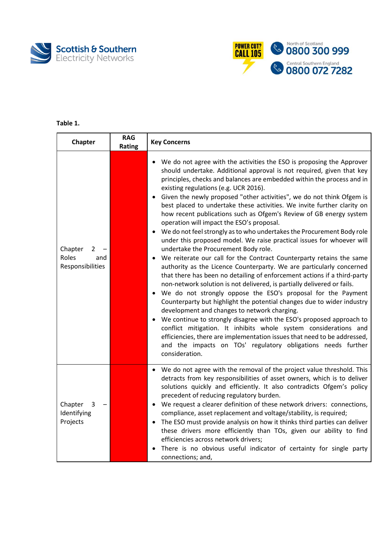



## **Table 1.**

| Chapter                                          | <b>RAG</b><br>Rating | <b>Key Concerns</b>                                                                                                                                                                                                                                                                                                                                                                                                                                                                                                                                                                                                                                                                                                                                                                                                                                                                                                                                                                                                                                                                                                                                                                                                                                                                                                                                                                                                                                                                                                                            |
|--------------------------------------------------|----------------------|------------------------------------------------------------------------------------------------------------------------------------------------------------------------------------------------------------------------------------------------------------------------------------------------------------------------------------------------------------------------------------------------------------------------------------------------------------------------------------------------------------------------------------------------------------------------------------------------------------------------------------------------------------------------------------------------------------------------------------------------------------------------------------------------------------------------------------------------------------------------------------------------------------------------------------------------------------------------------------------------------------------------------------------------------------------------------------------------------------------------------------------------------------------------------------------------------------------------------------------------------------------------------------------------------------------------------------------------------------------------------------------------------------------------------------------------------------------------------------------------------------------------------------------------|
| Chapter<br>2<br>Roles<br>and<br>Responsibilities |                      | We do not agree with the activities the ESO is proposing the Approver<br>should undertake. Additional approval is not required, given that key<br>principles, checks and balances are embedded within the process and in<br>existing regulations (e.g. UCR 2016).<br>Given the newly proposed "other activities", we do not think Ofgem is<br>best placed to undertake these activities. We invite further clarity on<br>how recent publications such as Ofgem's Review of GB energy system<br>operation will impact the ESO's proposal.<br>We do not feel strongly as to who undertakes the Procurement Body role<br>under this proposed model. We raise practical issues for whoever will<br>undertake the Procurement Body role.<br>We reiterate our call for the Contract Counterparty retains the same<br>authority as the Licence Counterparty. We are particularly concerned<br>that there has been no detailing of enforcement actions if a third-party<br>non-network solution is not delivered, is partially delivered or fails.<br>We do not strongly oppose the ESO's proposal for the Payment<br>Counterparty but highlight the potential changes due to wider industry<br>development and changes to network charging.<br>We continue to strongly disagree with the ESO's proposed approach to<br>conflict mitigation. It inhibits whole system considerations and<br>efficiencies, there are implementation issues that need to be addressed,<br>and the impacts on TOs' regulatory obligations needs further<br>consideration. |
| Chapter<br>3<br>Identifying<br>Projects          |                      | • We do not agree with the removal of the project value threshold. This<br>detracts from key responsibilities of asset owners, which is to deliver<br>solutions quickly and efficiently. It also contradicts Ofgem's policy<br>precedent of reducing regulatory burden.<br>• We request a clearer definition of these network drivers: connections,<br>compliance, asset replacement and voltage/stability, is required;<br>The ESO must provide analysis on how it thinks third parties can deliver<br>these drivers more efficiently than TOs, given our ability to find<br>efficiencies across network drivers;<br>There is no obvious useful indicator of certainty for single party<br>connections; and,                                                                                                                                                                                                                                                                                                                                                                                                                                                                                                                                                                                                                                                                                                                                                                                                                                  |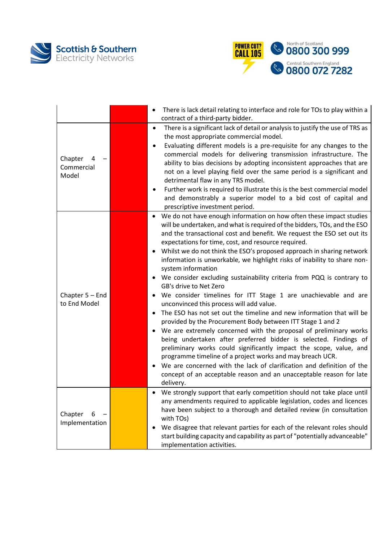



|                                   | There is lack detail relating to interface and role for TOs to play within a<br>$\bullet$<br>contract of a third-party bidder.                                                                                                                                                                                                                                                                                                                                                                                                                                                                                                                                                                                                                                                                                                                                                                                                                                                                                                                                                                                                                                                                                                                                |
|-----------------------------------|---------------------------------------------------------------------------------------------------------------------------------------------------------------------------------------------------------------------------------------------------------------------------------------------------------------------------------------------------------------------------------------------------------------------------------------------------------------------------------------------------------------------------------------------------------------------------------------------------------------------------------------------------------------------------------------------------------------------------------------------------------------------------------------------------------------------------------------------------------------------------------------------------------------------------------------------------------------------------------------------------------------------------------------------------------------------------------------------------------------------------------------------------------------------------------------------------------------------------------------------------------------|
| Chapter<br>Commercial<br>Model    | There is a significant lack of detail or analysis to justify the use of TRS as<br>$\bullet$<br>the most appropriate commercial model.<br>Evaluating different models is a pre-requisite for any changes to the<br>$\bullet$<br>commercial models for delivering transmission infrastructure. The<br>ability to bias decisions by adopting inconsistent approaches that are<br>not on a level playing field over the same period is a significant and<br>detrimental flaw in any TRS model.<br>Further work is required to illustrate this is the best commercial model<br>٠<br>and demonstrably a superior model to a bid cost of capital and<br>prescriptive investment period.                                                                                                                                                                                                                                                                                                                                                                                                                                                                                                                                                                              |
| Chapter $5 -$ End<br>to End Model | We do not have enough information on how often these impact studies<br>will be undertaken, and what is required of the bidders, TOs, and the ESO<br>and the transactional cost and benefit. We request the ESO set out its<br>expectations for time, cost, and resource required.<br>Whilst we do not think the ESO's proposed approach in sharing network<br>information is unworkable, we highlight risks of inability to share non-<br>system information<br>We consider excluding sustainability criteria from PQQ is contrary to<br>GB's drive to Net Zero<br>We consider timelines for ITT Stage 1 are unachievable and are<br>unconvinced this process will add value.<br>The ESO has not set out the timeline and new information that will be<br>provided by the Procurement Body between ITT Stage 1 and 2<br>We are extremely concerned with the proposal of preliminary works<br>being undertaken after preferred bidder is selected. Findings of<br>preliminary works could significantly impact the scope, value, and<br>programme timeline of a project works and may breach UCR.<br>We are concerned with the lack of clarification and definition of the<br>concept of an acceptable reason and an unacceptable reason for late<br>delivery. |
| Chapter<br>6<br>Implementation    | We strongly support that early competition should not take place until<br>any amendments required to applicable legislation, codes and licences<br>have been subject to a thorough and detailed review (in consultation<br>with TOs)<br>We disagree that relevant parties for each of the relevant roles should<br>start building capacity and capability as part of "potentially advanceable"<br>implementation activities.                                                                                                                                                                                                                                                                                                                                                                                                                                                                                                                                                                                                                                                                                                                                                                                                                                  |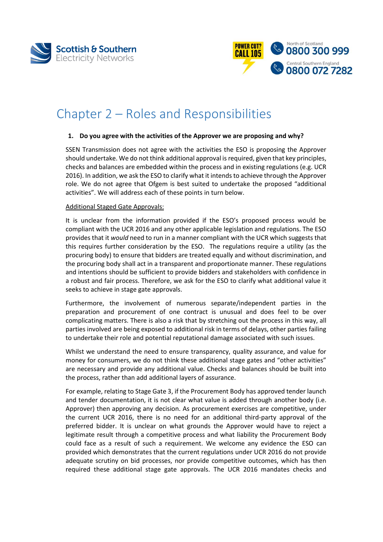



## Chapter 2 – Roles and Responsibilities

#### **1. Do you agree with the activities of the Approver we are proposing and why?**

SSEN Transmission does not agree with the activities the ESO is proposing the Approver should undertake. We do not think additional approval is required, given that key principles, checks and balances are embedded within the process and in existing regulations (e.g. UCR 2016). In addition, we ask the ESO to clarify what it intends to achieve through the Approver role. We do not agree that Ofgem is best suited to undertake the proposed "additional activities". We will address each of these points in turn below.

#### Additional Staged Gate Approvals:

It is unclear from the information provided if the ESO's proposed process would be compliant with the UCR 2016 and any other applicable legislation and regulations. The ESO provides that it *would* need to run in a manner compliant with the UCR which suggests that this requires further consideration by the ESO. The regulations require a utility (as the procuring body) to ensure that bidders are treated equally and without discrimination, and the procuring body shall act in a transparent and proportionate manner. These regulations and intentions should be sufficient to provide bidders and stakeholders with confidence in a robust and fair process. Therefore, we ask for the ESO to clarify what additional value it seeks to achieve in stage gate approvals.

Furthermore, the involvement of numerous separate/independent parties in the preparation and procurement of one contract is unusual and does feel to be over complicating matters. There is also a risk that by stretching out the process in this way, all parties involved are being exposed to additional risk in terms of delays, other parties failing to undertake their role and potential reputational damage associated with such issues.

Whilst we understand the need to ensure transparency, quality assurance, and value for money for consumers, we do not think these additional stage gates and "other activities" are necessary and provide any additional value. Checks and balances should be built into the process, rather than add additional layers of assurance.

For example, relating to Stage Gate 3, if the Procurement Body has approved tender launch and tender documentation, it is not clear what value is added through another body (i.e. Approver) then approving any decision. As procurement exercises are competitive, under the current UCR 2016, there is no need for an additional third-party approval of the preferred bidder. It is unclear on what grounds the Approver would have to reject a legitimate result through a competitive process and what liability the Procurement Body could face as a result of such a requirement. We welcome any evidence the ESO can provided which demonstrates that the current regulations under UCR 2016 do not provide adequate scrutiny on bid processes, nor provide competitive outcomes, which has then required these additional stage gate approvals. The UCR 2016 mandates checks and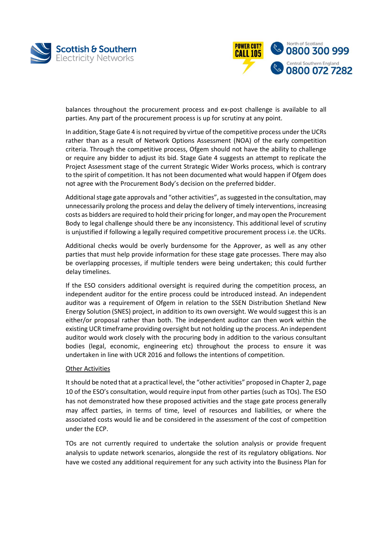



balances throughout the procurement process and ex-post challenge is available to all parties. Any part of the procurement process is up for scrutiny at any point.

In addition, Stage Gate 4 is not required by virtue of the competitive process under the UCRs rather than as a result of Network Options Assessment (NOA) of the early competition criteria. Through the competitive process, Ofgem should not have the ability to challenge or require any bidder to adjust its bid. Stage Gate 4 suggests an attempt to replicate the Project Assessment stage of the current Strategic Wider Works process, which is contrary to the spirit of competition. It has not been documented what would happen if Ofgem does not agree with the Procurement Body's decision on the preferred bidder.

Additional stage gate approvals and "other activities", as suggested in the consultation, may unnecessarily prolong the process and delay the delivery of timely interventions, increasing costs as bidders are required to hold their pricing for longer, and may open the Procurement Body to legal challenge should there be any inconsistency. This additional level of scrutiny is unjustified if following a legally required competitive procurement process i.e. the UCRs.

Additional checks would be overly burdensome for the Approver, as well as any other parties that must help provide information for these stage gate processes. There may also be overlapping processes, if multiple tenders were being undertaken; this could further delay timelines.

If the ESO considers additional oversight is required during the competition process, an independent auditor for the entire process could be introduced instead. An independent auditor was a requirement of Ofgem in relation to the SSEN Distribution Shetland New Energy Solution (SNES) project, in addition to its own oversight. We would suggest this is an either/or proposal rather than both. The independent auditor can then work within the existing UCR timeframe providing oversight but not holding up the process. An independent auditor would work closely with the procuring body in addition to the various consultant bodies (legal, economic, engineering etc) throughout the process to ensure it was undertaken in line with UCR 2016 and follows the intentions of competition.

#### Other Activities

It should be noted that at a practical level, the "other activities" proposed in Chapter 2, page 10 of the ESO's consultation, would require input from other parties (such as TOs). The ESO has not demonstrated how these proposed activities and the stage gate process generally may affect parties, in terms of time, level of resources and liabilities, or where the associated costs would lie and be considered in the assessment of the cost of competition under the ECP.

TOs are not currently required to undertake the solution analysis or provide frequent analysis to update network scenarios, alongside the rest of its regulatory obligations. Nor have we costed any additional requirement for any such activity into the Business Plan for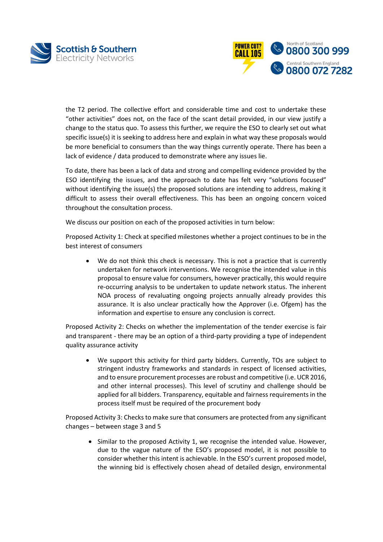



the T2 period. The collective effort and considerable time and cost to undertake these "other activities" does not, on the face of the scant detail provided, in our view justify a change to the status quo. To assess this further, we require the ESO to clearly set out what specific issue(s) it is seeking to address here and explain in what way these proposals would be more beneficial to consumers than the way things currently operate. There has been a lack of evidence / data produced to demonstrate where any issues lie.

To date, there has been a lack of data and strong and compelling evidence provided by the ESO identifying the issues, and the approach to date has felt very "solutions focused" without identifying the issue(s) the proposed solutions are intending to address, making it difficult to assess their overall effectiveness. This has been an ongoing concern voiced throughout the consultation process.

We discuss our position on each of the proposed activities in turn below:

Proposed Activity 1: Check at specified milestones whether a project continues to be in the best interest of consumers

• We do not think this check is necessary. This is not a practice that is currently undertaken for network interventions. We recognise the intended value in this proposal to ensure value for consumers, however practically, this would require re-occurring analysis to be undertaken to update network status. The inherent NOA process of revaluating ongoing projects annually already provides this assurance. It is also unclear practically how the Approver (i.e. Ofgem) has the information and expertise to ensure any conclusion is correct.

Proposed Activity 2: Checks on whether the implementation of the tender exercise is fair and transparent - there may be an option of a third-party providing a type of independent quality assurance activity

We support this activity for third party bidders. Currently, TOs are subject to stringent industry frameworks and standards in respect of licensed activities, and to ensure procurement processes are robust and competitive (i.e. UCR 2016, and other internal processes). This level of scrutiny and challenge should be applied for all bidders. Transparency, equitable and fairness requirements in the process itself must be required of the procurement body

Proposed Activity 3: Checks to make sure that consumers are protected from any significant changes – between stage 3 and 5

• Similar to the proposed Activity 1, we recognise the intended value. However, due to the vague nature of the ESO's proposed model, it is not possible to consider whether this intent is achievable. In the ESO's current proposed model, the winning bid is effectively chosen ahead of detailed design, environmental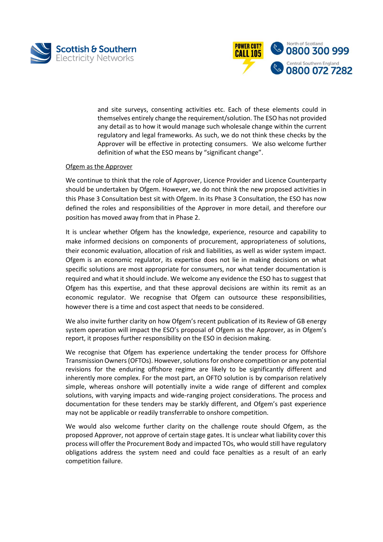



and site surveys, consenting activities etc. Each of these elements could in themselves entirely change the requirement/solution. The ESO has not provided any detail as to how it would manage such wholesale change within the current regulatory and legal frameworks. As such, we do not think these checks by the Approver will be effective in protecting consumers. We also welcome further definition of what the ESO means by "significant change".

#### Ofgem as the Approver

We continue to think that the role of Approver, Licence Provider and Licence Counterparty should be undertaken by Ofgem. However, we do not think the new proposed activities in this Phase 3 Consultation best sit with Ofgem. In its Phase 3 Consultation, the ESO has now defined the roles and responsibilities of the Approver in more detail, and therefore our position has moved away from that in Phase 2.

It is unclear whether Ofgem has the knowledge, experience, resource and capability to make informed decisions on components of procurement, appropriateness of solutions, their economic evaluation, allocation of risk and liabilities, as well as wider system impact. Ofgem is an economic regulator, its expertise does not lie in making decisions on what specific solutions are most appropriate for consumers, nor what tender documentation is required and what it should include. We welcome any evidence the ESO has to suggest that Ofgem has this expertise, and that these approval decisions are within its remit as an economic regulator. We recognise that Ofgem can outsource these responsibilities, however there is a time and cost aspect that needs to be considered.

We also invite further clarity on how Ofgem's recent publication of its Review of GB energy system operation will impact the ESO's proposal of Ofgem as the Approver, as in Ofgem's report, it proposes further responsibility on the ESO in decision making.

We recognise that Ofgem has experience undertaking the tender process for Offshore Transmission Owners (OFTOs). However,solutions for onshore competition or any potential revisions for the enduring offshore regime are likely to be significantly different and inherently more complex. For the most part, an OFTO solution is by comparison relatively simple, whereas onshore will potentially invite a wide range of different and complex solutions, with varying impacts and wide-ranging project considerations. The process and documentation for these tenders may be starkly different, and Ofgem's past experience may not be applicable or readily transferrable to onshore competition.

We would also welcome further clarity on the challenge route should Ofgem, as the proposed Approver, not approve of certain stage gates. It is unclear what liability cover this process will offer the Procurement Body and impacted TOs, who would still have regulatory obligations address the system need and could face penalties as a result of an early competition failure.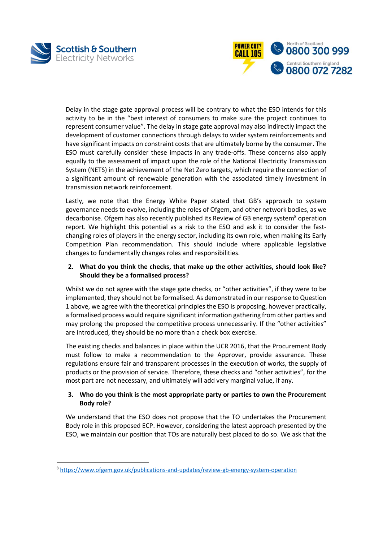

l



Delay in the stage gate approval process will be contrary to what the ESO intends for this activity to be in the "best interest of consumers to make sure the project continues to represent consumer value". The delay in stage gate approval may also indirectly impact the development of customer connections through delays to wider system reinforcements and have significant impacts on constraint costs that are ultimately borne by the consumer. The ESO must carefully consider these impacts in any trade-offs. These concerns also apply equally to the assessment of impact upon the role of the National Electricity Transmission System (NETS) in the achievement of the Net Zero targets, which require the connection of a significant amount of renewable generation with the associated timely investment in transmission network reinforcement.

Lastly, we note that the Energy White Paper stated that GB's approach to system governance needs to evolve, including the roles of Ofgem, and other network bodies, as we decarbonise. Ofgem has also recently published its Review of GB energy system<sup>8</sup> operation report. We highlight this potential as a risk to the ESO and ask it to consider the fastchanging roles of players in the energy sector, including its own role, when making its Early Competition Plan recommendation. This should include where applicable legislative changes to fundamentally changes roles and responsibilities.

#### **2. What do you think the checks, that make up the other activities, should look like? Should they be a formalised process?**

Whilst we do not agree with the stage gate checks, or "other activities", if they were to be implemented, they should not be formalised. As demonstrated in our response to Question 1 above, we agree with the theoretical principles the ESO is proposing, however practically, a formalised process would require significant information gathering from other parties and may prolong the proposed the competitive process unnecessarily. If the "other activities" are introduced, they should be no more than a check box exercise.

The existing checks and balances in place within the UCR 2016, that the Procurement Body must follow to make a recommendation to the Approver, provide assurance. These regulations ensure fair and transparent processes in the execution of works, the supply of products or the provision of service. Therefore, these checks and "other activities", for the most part are not necessary, and ultimately will add very marginal value, if any.

## **3. Who do you think is the most appropriate party or parties to own the Procurement Body role?**

We understand that the ESO does not propose that the TO undertakes the Procurement Body role in this proposed ECP. However, considering the latest approach presented by the ESO, we maintain our position that TOs are naturally best placed to do so. We ask that the

<sup>8</sup> <https://www.ofgem.gov.uk/publications-and-updates/review-gb-energy-system-operation>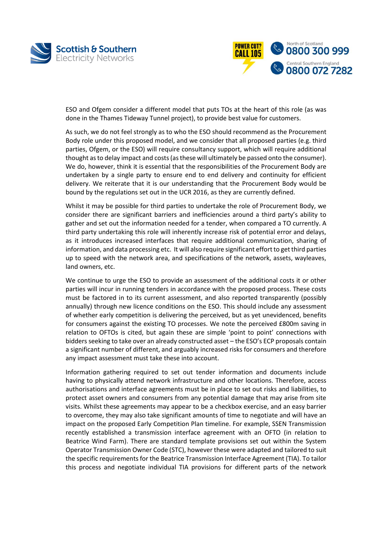



ESO and Ofgem consider a different model that puts TOs at the heart of this role (as was done in the Thames Tideway Tunnel project), to provide best value for customers.

As such, we do not feel strongly as to who the ESO should recommend as the Procurement Body role under this proposed model, and we consider that all proposed parties (e.g. third parties, Ofgem, or the ESO) will require consultancy support, which will require additional thought as to delay impact and costs (as these will ultimately be passed onto the consumer). We do, however, think it is essential that the responsibilities of the Procurement Body are undertaken by a single party to ensure end to end delivery and continuity for efficient delivery. We reiterate that it is our understanding that the Procurement Body would be bound by the regulations set out in the UCR 2016, as they are currently defined.

Whilst it may be possible for third parties to undertake the role of Procurement Body, we consider there are significant barriers and inefficiencies around a third party's ability to gather and set out the information needed for a tender, when compared a TO currently. A third party undertaking this role will inherently increase risk of potential error and delays, as it introduces increased interfaces that require additional communication, sharing of information, and data processing etc. It will also require significant effort to get third parties up to speed with the network area, and specifications of the network, assets, wayleaves, land owners, etc.

We continue to urge the ESO to provide an assessment of the additional costs it or other parties will incur in running tenders in accordance with the proposed process. These costs must be factored in to its current assessment, and also reported transparently (possibly annually) through new licence conditions on the ESO. This should include any assessment of whether early competition is delivering the perceived, but as yet unevidenced, benefits for consumers against the existing TO processes. We note the perceived £800m saving in relation to OFTOs is cited, but again these are simple 'point to point' connections with bidders seeking to take over an already constructed asset – the ESO's ECP proposals contain a significant number of different, and arguably increased risks for consumers and therefore any impact assessment must take these into account.

Information gathering required to set out tender information and documents include having to physically attend network infrastructure and other locations. Therefore, access authorisations and interface agreements must be in place to set out risks and liabilities, to protect asset owners and consumers from any potential damage that may arise from site visits. Whilst these agreements may appear to be a checkbox exercise, and an easy barrier to overcome, they may also take significant amounts of time to negotiate and will have an impact on the proposed Early Competition Plan timeline. For example, SSEN Transmission recently established a transmission interface agreement with an OFTO (in relation to Beatrice Wind Farm). There are standard template provisions set out within the System Operator Transmission Owner Code (STC), however these were adapted and tailored to suit the specific requirements for the Beatrice Transmission Interface Agreement (TIA). To tailor this process and negotiate individual TIA provisions for different parts of the network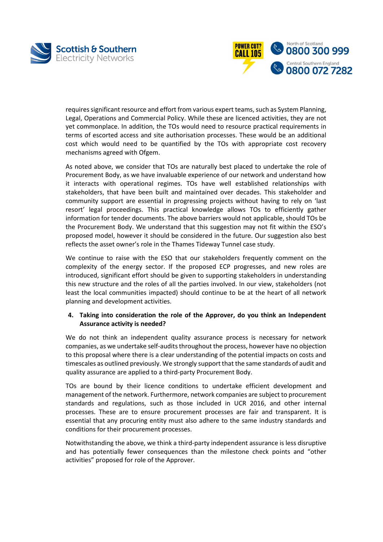



requires significant resource and effort from various expert teams, such as System Planning, Legal, Operations and Commercial Policy. While these are licenced activities, they are not yet commonplace. In addition, the TOs would need to resource practical requirements in terms of escorted access and site authorisation processes. These would be an additional cost which would need to be quantified by the TOs with appropriate cost recovery mechanisms agreed with Ofgem.

As noted above, we consider that TOs are naturally best placed to undertake the role of Procurement Body, as we have invaluable experience of our network and understand how it interacts with operational regimes. TOs have well established relationships with stakeholders, that have been built and maintained over decades. This stakeholder and community support are essential in progressing projects without having to rely on 'last resort' legal proceedings. This practical knowledge allows TOs to efficiently gather information for tender documents. The above barriers would not applicable, should TOs be the Procurement Body. We understand that this suggestion may not fit within the ESO's proposed model, however it should be considered in the future. Our suggestion also best reflects the asset owner's role in the Thames Tideway Tunnel case study.

We continue to raise with the ESO that our stakeholders frequently comment on the complexity of the energy sector. If the proposed ECP progresses, and new roles are introduced, significant effort should be given to supporting stakeholders in understanding this new structure and the roles of all the parties involved. In our view, stakeholders (not least the local communities impacted) should continue to be at the heart of all network planning and development activities.

#### **4. Taking into consideration the role of the Approver, do you think an Independent Assurance activity is needed?**

We do not think an independent quality assurance process is necessary for network companies, as we undertake self-audits throughout the process, however have no objection to this proposal where there is a clear understanding of the potential impacts on costs and timescales as outlined previously. We strongly support that the same standards of audit and quality assurance are applied to a third-party Procurement Body.

TOs are bound by their licence conditions to undertake efficient development and management of the network. Furthermore, network companies are subject to procurement standards and regulations, such as those included in UCR 2016, and other internal processes. These are to ensure procurement processes are fair and transparent. It is essential that any procuring entity must also adhere to the same industry standards and conditions for their procurement processes.

Notwithstanding the above, we think a third-party independent assurance is less disruptive and has potentially fewer consequences than the milestone check points and "other activities" proposed for role of the Approver.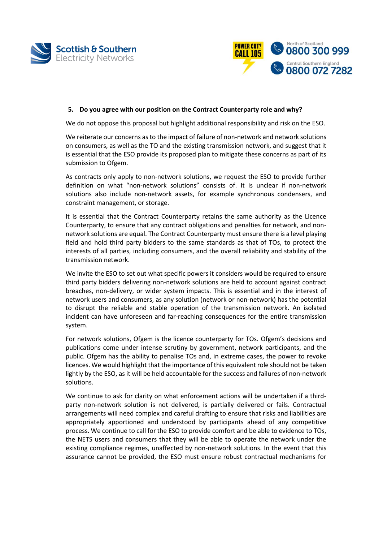



#### **5. Do you agree with our position on the Contract Counterparty role and why?**

We do not oppose this proposal but highlight additional responsibility and risk on the ESO.

We reiterate our concerns as to the impact of failure of non-network and network solutions on consumers, as well as the TO and the existing transmission network, and suggest that it is essential that the ESO provide its proposed plan to mitigate these concerns as part of its submission to Ofgem.

As contracts only apply to non-network solutions, we request the ESO to provide further definition on what "non-network solutions" consists of. It is unclear if non-network solutions also include non-network assets, for example synchronous condensers, and constraint management, or storage.

It is essential that the Contract Counterparty retains the same authority as the Licence Counterparty, to ensure that any contract obligations and penalties for network, and nonnetwork solutions are equal. The Contract Counterparty must ensure there is a level playing field and hold third party bidders to the same standards as that of TOs, to protect the interests of all parties, including consumers, and the overall reliability and stability of the transmission network.

We invite the ESO to set out what specific powers it considers would be required to ensure third party bidders delivering non-network solutions are held to account against contract breaches, non-delivery, or wider system impacts. This is essential and in the interest of network users and consumers, as any solution (network or non-network) has the potential to disrupt the reliable and stable operation of the transmission network. An isolated incident can have unforeseen and far-reaching consequences for the entire transmission system.

For network solutions, Ofgem is the licence counterparty for TOs. Ofgem's decisions and publications come under intense scrutiny by government, network participants, and the public. Ofgem has the ability to penalise TOs and, in extreme cases, the power to revoke licences. We would highlight that the importance of this equivalent role should not be taken lightly by the ESO, as it will be held accountable for the success and failures of non-network solutions.

We continue to ask for clarity on what enforcement actions will be undertaken if a thirdparty non-network solution is not delivered, is partially delivered or fails. Contractual arrangements will need complex and careful drafting to ensure that risks and liabilities are appropriately apportioned and understood by participants ahead of any competitive process. We continue to call for the ESO to provide comfort and be able to evidence to TOs, the NETS users and consumers that they will be able to operate the network under the existing compliance regimes, unaffected by non-network solutions. In the event that this assurance cannot be provided, the ESO must ensure robust contractual mechanisms for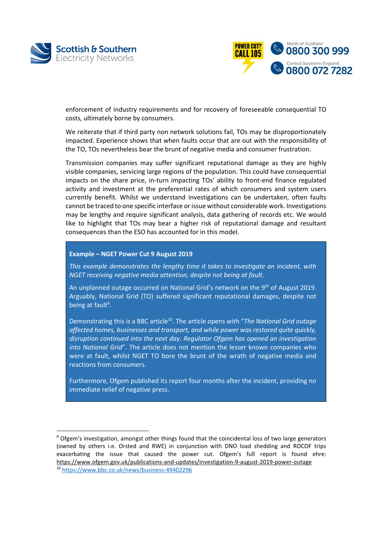

 $\overline{a}$ 



enforcement of industry requirements and for recovery of foreseeable consequential TO costs, ultimately borne by consumers.

We reiterate that if third party non network solutions fail, TOs may be disproportionately impacted. Experience shows that when faults occur that are out with the responsibility of the TO, TOs nevertheless bear the brunt of negative media and consumer frustration.

Transmission companies may suffer significant reputational damage as they are highly visible companies, servicing large regions of the population. This could have consequential impacts on the share price, in-turn impacting TOs' ability to front-end finance regulated activity and investment at the preferential rates of which consumers and system users currently benefit. Whilst we understand investigations can be undertaken, often faults cannot be traced to one specific interface or issue without considerable work. Investigations may be lengthy and require significant analysis, data gathering of records etc. We would like to highlight that TOs may bear a higher risk of reputational damage and resultant consequences than the ESO has accounted for in this model.

#### **Example – NGET Power Cut 9 August 2019**

*This example demonstrates the lengthy time it takes to investigate an incident, with NGET receiving negative media attention, despite not being at fault.*

An unplanned outage occurred on National Grid's network on the 9<sup>th</sup> of August 2019. Arguably, National Grid (TO) suffered significant reputational damages, despite not being at fault<sup>9</sup>.

Demonstrating this is a BBC article<sup>10</sup>. The article opens with "*The National Grid outage affected homes, businesses and transport, and while power was restored quite quickly, disruption continued into the next day. Regulator Ofgem has opened an investigation into National Grid*". The article does not mention the lesser known companies who were at fault, whilst NGET TO bore the brunt of the wrath of negative media and reactions from consumers.

Furthermore, Ofgem published its report four months after the incident, providing no immediate relief of negative press.

<sup>9</sup> Ofgem's investigation, amongst other things found that the coincidental loss of two large generators (owned by others i.e. Orsted and RWE) in conjunction with DNO load shedding and ROCOF trips exacerbating the issue that caused the power cut. Ofgem's full report is found ehre: <https://www.ofgem.gov.uk/publications-and-updates/investigation-9-august-2019-power-outage> <sup>10</sup> <https://www.bbc.co.uk/news/business-49402296>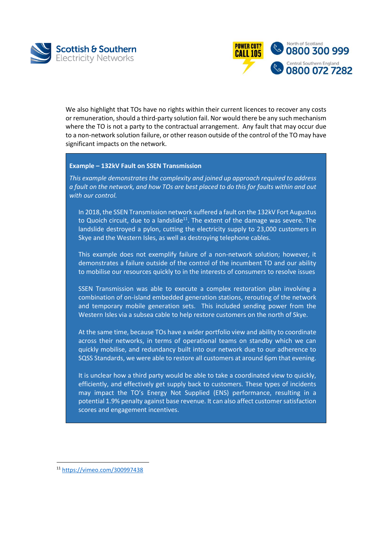



We also highlight that TOs have no rights within their current licences to recover any costs or remuneration, should a third-party solution fail. Nor would there be any such mechanism where the TO is not a party to the contractual arrangement. Any fault that may occur due to a non-network solution failure, or other reason outside of the control of the TO may have significant impacts on the network.

#### **Example – 132kV Fault on SSEN Transmission**

*This example demonstrates the complexity and joined up approach required to address a fault on the network, and how TOs are best placed to do this for faults within and out with our control.* 

In 2018, the SSEN Transmission network suffered a fault on the 132kV Fort Augustus to Quoich circuit, due to a landslide<sup>11</sup>. The extent of the damage was severe. The landslide destroyed a pylon, cutting the electricity supply to 23,000 customers in Skye and the Western Isles, as well as destroying telephone cables.

This example does not exemplify failure of a non-network solution; however, it demonstrates a failure outside of the control of the incumbent TO and our ability to mobilise our resources quickly to in the interests of consumers to resolve issues

SSEN Transmission was able to execute a complex restoration plan involving a combination of on-island embedded generation stations, rerouting of the network and temporary mobile generation sets. This included sending power from the Western Isles via a subsea cable to help restore customers on the north of Skye.

At the same time, because TOs have a wider portfolio view and ability to coordinate across their networks, in terms of operational teams on standby which we can quickly mobilise, and redundancy built into our network due to our adherence to SQSS Standards, we were able to restore all customers at around 6pm that evening.

It is unclear how a third party would be able to take a coordinated view to quickly, efficiently, and effectively get supply back to customers. These types of incidents may impact the TO's Energy Not Supplied (ENS) performance, resulting in a potential 1.9% penalty against base revenue. It can also affect customer satisfaction scores and engagement incentives.

l

<sup>11</sup> <https://vimeo.com/300997438>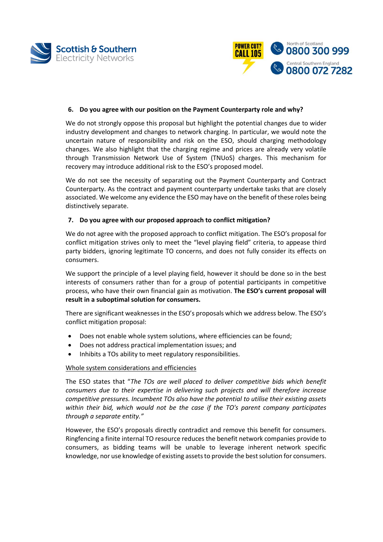



#### **6. Do you agree with our position on the Payment Counterparty role and why?**

We do not strongly oppose this proposal but highlight the potential changes due to wider industry development and changes to network charging. In particular, we would note the uncertain nature of responsibility and risk on the ESO, should charging methodology changes. We also highlight that the charging regime and prices are already very volatile through Transmission Network Use of System (TNUoS) charges. This mechanism for recovery may introduce additional risk to the ESO's proposed model.

We do not see the necessity of separating out the Payment Counterparty and Contract Counterparty. As the contract and payment counterparty undertake tasks that are closely associated. We welcome any evidence the ESO may have on the benefit of these roles being distinctively separate.

#### **7. Do you agree with our proposed approach to conflict mitigation?**

We do not agree with the proposed approach to conflict mitigation. The ESO's proposal for conflict mitigation strives only to meet the "level playing field" criteria, to appease third party bidders, ignoring legitimate TO concerns, and does not fully consider its effects on consumers.

We support the principle of a level playing field, however it should be done so in the best interests of consumers rather than for a group of potential participants in competitive process, who have their own financial gain as motivation. **The ESO's current proposal will result in a suboptimal solution for consumers.** 

There are significant weaknesses in the ESO's proposals which we address below. The ESO's conflict mitigation proposal:

- Does not enable whole system solutions, where efficiencies can be found;
- Does not address practical implementation issues; and
- Inhibits a TOs ability to meet regulatory responsibilities.

#### Whole system considerations and efficiencies

The ESO states that "*The TOs are well placed to deliver competitive bids which benefit consumers due to their expertise in delivering such projects and will therefore increase competitive pressures. Incumbent TOs also have the potential to utilise their existing assets within their bid, which would not be the case if the TO's parent company participates through a separate entity."*

However, the ESO's proposals directly contradict and remove this benefit for consumers. Ringfencing a finite internal TO resource reduces the benefit network companies provide to consumers, as bidding teams will be unable to leverage inherent network specific knowledge, nor use knowledge of existing assets to provide the best solution for consumers.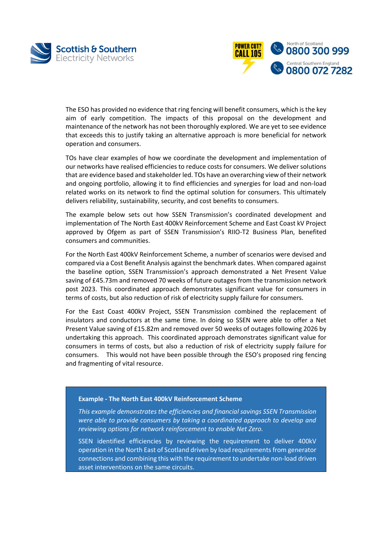



The ESO has provided no evidence that ring fencing will benefit consumers, which is the key aim of early competition. The impacts of this proposal on the development and maintenance of the network has not been thoroughly explored. We are yet to see evidence that exceeds this to justify taking an alternative approach is more beneficial for network operation and consumers.

TOs have clear examples of how we coordinate the development and implementation of our networks have realised efficiencies to reduce costs for consumers. We deliver solutions that are evidence based and stakeholder led. TOs have an overarching view of their network and ongoing portfolio, allowing it to find efficiencies and synergies for load and non-load related works on its network to find the optimal solution for consumers. This ultimately delivers reliability, sustainability, security, and cost benefits to consumers.

The example below sets out how SSEN Transmission's coordinated development and implementation of The North East 400kV Reinforcement Scheme and East Coast kV Project approved by Ofgem as part of SSEN Transmission's RIIO-T2 Business Plan, benefited consumers and communities.

For the North East 400kV Reinforcement Scheme, a number of scenarios were devised and compared via a Cost Benefit Analysis against the benchmark dates. When compared against the baseline option, SSEN Transmission's approach demonstrated a Net Present Value saving of £45.73m and removed 70 weeks of future outages from the transmission network post 2023. This coordinated approach demonstrates significant value for consumers in terms of costs, but also reduction of risk of electricity supply failure for consumers.

For the East Coast 400kV Project, SSEN Transmission combined the replacement of insulators and conductors at the same time. In doing so SSEN were able to offer a Net Present Value saving of £15.82m and removed over 50 weeks of outages following 2026 by undertaking this approach. This coordinated approach demonstrates significant value for consumers in terms of costs, but also a reduction of risk of electricity supply failure for consumers. This would not have been possible through the ESO's proposed ring fencing and fragmenting of vital resource.

#### **Example - The North East 400kV Reinforcement Scheme**

*This example demonstrates the efficiencies and financial savings SSEN Transmission were able to provide consumers by taking a coordinated approach to develop and reviewing options for network reinforcement to enable Net Zero.*

SSEN identified efficiencies by reviewing the requirement to deliver 400kV operation in the North East of Scotland driven by load requirements from generator connections and combining this with the requirement to undertake non-load driven asset interventions on the same circuits.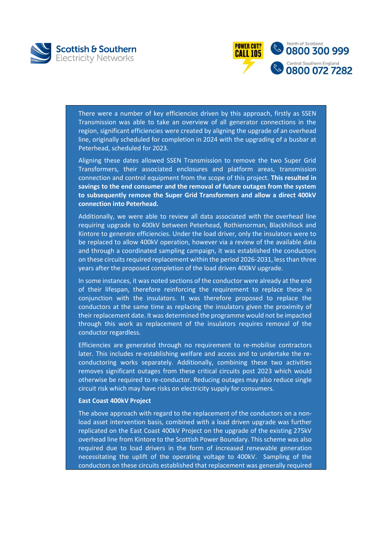



There were a number of key efficiencies driven by this approach, firstly as SSEN Transmission was able to take an overview of all generator connections in the region, significant efficiencies were created by aligning the upgrade of an overhead line, originally scheduled for completion in 2024 with the upgrading of a busbar at Peterhead, scheduled for 2023.

Aligning these dates allowed SSEN Transmission to remove the two Super Grid Transformers, their associated enclosures and platform areas, transmission connection and control equipment from the scope of this project. **This resulted in savings to the end consumer and the removal of future outages from the system to subsequently remove the Super Grid Transformers and allow a direct 400kV connection into Peterhead.**

Additionally, we were able to review all data associated with the overhead line requiring upgrade to 400kV between Peterhead, Rothienorman, Blackhillock and Kintore to generate efficiencies. Under the load driver, only the insulators were to be replaced to allow 400kV operation, however via a review of the available data and through a coordinated sampling campaign, it was established the conductors on these circuits required replacement within the period 2026-2031, less than three years after the proposed completion of the load driven 400kV upgrade.

In some instances, it was noted sections of the conductor were already at the end of their lifespan, therefore reinforcing the requirement to replace these in conjunction with the insulators. It was therefore proposed to replace the conductors at the same time as replacing the insulators given the proximity of their replacement date. It was determined the programme would not be impacted through this work as replacement of the insulators requires removal of the conductor regardless.

Efficiencies are generated through no requirement to re-mobilise contractors later. This includes re-establishing welfare and access and to undertake the reconductoring works separately. Additionally, combining these two activities removes significant outages from these critical circuits post 2023 which would otherwise be required to re-conductor. Reducing outages may also reduce single circuit risk which may have risks on electricity supply for consumers.

#### **East Coast 400kV Project**

The above approach with regard to the replacement of the conductors on a nonload asset intervention basis, combined with a load driven upgrade was further replicated on the East Coast 400kV Project on the upgrade of the existing 275kV overhead line from Kintore to the Scottish Power Boundary. This scheme was also required due to load drivers in the form of increased renewable generation necessitating the uplift of the operating voltage to 400kV. Sampling of the conductors on these circuits established that replacement was generally required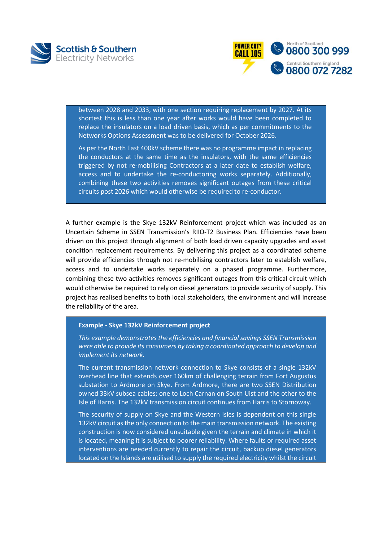



between 2028 and 2033, with one section requiring replacement by 2027. At its shortest this is less than one year after works would have been completed to replace the insulators on a load driven basis, which as per commitments to the Networks Options Assessment was to be delivered for October 2026.

As per the North East 400kV scheme there was no programme impact in replacing the conductors at the same time as the insulators, with the same efficiencies triggered by not re-mobilising Contractors at a later date to establish welfare, access and to undertake the re-conductoring works separately. Additionally, combining these two activities removes significant outages from these critical circuits post 2026 which would otherwise be required to re-conductor.

A further example is the Skye 132kV Reinforcement project which was included as an Uncertain Scheme in SSEN Transmission's RIIO-T2 Business Plan. Efficiencies have been driven on this project through alignment of both load driven capacity upgrades and asset condition replacement requirements. By delivering this project as a coordinated scheme will provide efficiencies through not re-mobilising contractors later to establish welfare, access and to undertake works separately on a phased programme. Furthermore, combining these two activities removes significant outages from this critical circuit which would otherwise be required to rely on diesel generators to provide security of supply. This project has realised benefits to both local stakeholders, the environment and will increase the reliability of the area.

#### **Example - Skye 132kV Reinforcement project**

*This example demonstrates the efficiencies and financial savings SSEN Transmission were able to provide its consumers by taking a coordinated approach to develop and implement its network.*

The current transmission network connection to Skye consists of a single 132kV overhead line that extends over 160km of challenging terrain from Fort Augustus substation to Ardmore on Skye. From Ardmore, there are two SSEN Distribution owned 33kV subsea cables; one to Loch Carnan on South Uist and the other to the Isle of Harris. The 132kV transmission circuit continues from Harris to Stornoway.

The security of supply on Skye and the Western Isles is dependent on this single 132kV circuit as the only connection to the main transmission network. The existing construction is now considered unsuitable given the terrain and climate in which it is located, meaning it is subject to poorer reliability. Where faults or required asset interventions are needed currently to repair the circuit, backup diesel generators located on the Islands are utilised to supply the required electricity whilst the circuit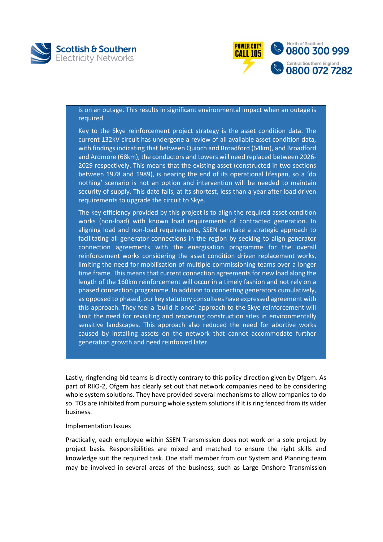



is on an outage. This results in significant environmental impact when an outage is required.

Key to the Skye reinforcement project strategy is the asset condition data. The current 132kV circuit has undergone a review of all available asset condition data, with findings indicating that between Quioch and Broadford (64km), and Broadford and Ardmore (68km), the conductors and towers will need replaced between 2026- 2029 respectively. This means that the existing asset (constructed in two sections between 1978 and 1989), is nearing the end of its operational lifespan, so a 'do nothing' scenario is not an option and intervention will be needed to maintain security of supply. This date falls, at its shortest, less than a year after load driven requirements to upgrade the circuit to Skye.

The key efficiency provided by this project is to align the required asset condition works (non-load) with known load requirements of contracted generation. In aligning load and non-load requirements, SSEN can take a strategic approach to facilitating all generator connections in the region by seeking to align generator connection agreements with the energisation programme for the overall reinforcement works considering the asset condition driven replacement works, limiting the need for mobilisation of multiple commissioning teams over a longer time frame. This means that current connection agreements for new load along the length of the 160km reinforcement will occur in a timely fashion and not rely on a phased connection programme. In addition to connecting generators cumulatively, as opposed to phased, our key statutory consultees have expressed agreement with this approach. They feel a 'build it once' approach to the Skye reinforcement will limit the need for revisiting and reopening construction sites in environmentally sensitive landscapes. This approach also reduced the need for abortive works caused by installing assets on the network that cannot accommodate further generation growth and need reinforced later.

Lastly, ringfencing bid teams is directly contrary to this policy direction given by Ofgem. As part of RIIO-2, Ofgem has clearly set out that network companies need to be considering whole system solutions. They have provided several mechanisms to allow companies to do so. TOs are inhibited from pursuing whole system solutions if it is ring fenced from its wider business.

#### Implementation Issues

Practically, each employee within SSEN Transmission does not work on a sole project by project basis. Responsibilities are mixed and matched to ensure the right skills and knowledge suit the required task. One staff member from our System and Planning team may be involved in several areas of the business, such as Large Onshore Transmission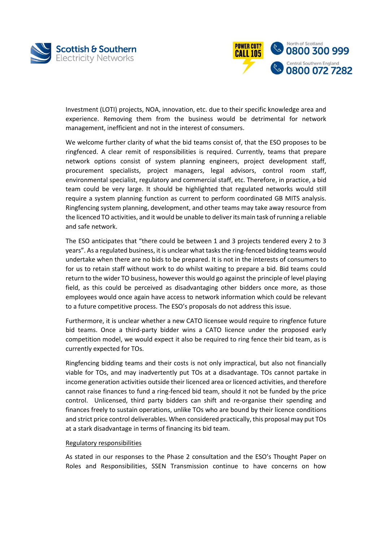



Investment (LOTI) projects, NOA, innovation, etc. due to their specific knowledge area and experience. Removing them from the business would be detrimental for network management, inefficient and not in the interest of consumers.

We welcome further clarity of what the bid teams consist of, that the ESO proposes to be ringfenced. A clear remit of responsibilities is required. Currently, teams that prepare network options consist of system planning engineers, project development staff, procurement specialists, project managers, legal advisors, control room staff, environmental specialist, regulatory and commercial staff, etc. Therefore, in practice, a bid team could be very large. It should be highlighted that regulated networks would still require a system planning function as current to perform coordinated GB MITS analysis. Ringfencing system planning, development, and other teams may take away resource from the licenced TO activities, and it would be unable to deliver its main task of running a reliable and safe network.

The ESO anticipates that "there could be between 1 and 3 projects tendered every 2 to 3 years". As a regulated business, it is unclear what tasks the ring-fenced bidding teams would undertake when there are no bids to be prepared. It is not in the interests of consumers to for us to retain staff without work to do whilst waiting to prepare a bid. Bid teams could return to the wider TO business, however this would go against the principle of level playing field, as this could be perceived as disadvantaging other bidders once more, as those employees would once again have access to network information which could be relevant to a future competitive process. The ESO's proposals do not address this issue.

Furthermore, it is unclear whether a new CATO licensee would require to ringfence future bid teams. Once a third-party bidder wins a CATO licence under the proposed early competition model, we would expect it also be required to ring fence their bid team, as is currently expected for TOs.

Ringfencing bidding teams and their costs is not only impractical, but also not financially viable for TOs, and may inadvertently put TOs at a disadvantage. TOs cannot partake in income generation activities outside their licenced area or licenced activities, and therefore cannot raise finances to fund a ring-fenced bid team, should it not be funded by the price control. Unlicensed, third party bidders can shift and re-organise their spending and finances freely to sustain operations, unlike TOs who are bound by their licence conditions and strict price control deliverables. When considered practically, this proposal may put TOs at a stark disadvantage in terms of financing its bid team.

#### Regulatory responsibilities

As stated in our responses to the Phase 2 consultation and the ESO's Thought Paper on Roles and Responsibilities, SSEN Transmission continue to have concerns on how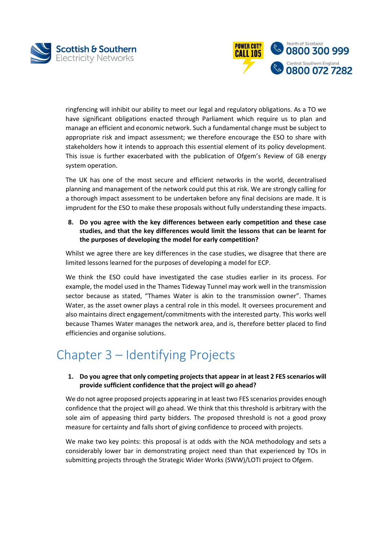



ringfencing will inhibit our ability to meet our legal and regulatory obligations. As a TO we have significant obligations enacted through Parliament which require us to plan and manage an efficient and economic network. Such a fundamental change must be subject to appropriate risk and impact assessment; we therefore encourage the ESO to share with stakeholders how it intends to approach this essential element of its policy development. This issue is further exacerbated with the publication of Ofgem's Review of GB energy system operation.

The UK has one of the most secure and efficient networks in the world, decentralised planning and management of the network could put this at risk. We are strongly calling for a thorough impact assessment to be undertaken before any final decisions are made. It is imprudent for the ESO to make these proposals without fully understanding these impacts.

**8. Do you agree with the key differences between early competition and these case studies, and that the key differences would limit the lessons that can be learnt for the purposes of developing the model for early competition?**

Whilst we agree there are key differences in the case studies, we disagree that there are limited lessons learned for the purposes of developing a model for ECP.

We think the ESO could have investigated the case studies earlier in its process. For example, the model used in the Thames Tideway Tunnel may work well in the transmission sector because as stated, "Thames Water is akin to the transmission owner". Thames Water, as the asset owner plays a central role in this model. It oversees procurement and also maintains direct engagement/commitments with the interested party. This works well because Thames Water manages the network area, and is, therefore better placed to find efficiencies and organise solutions.

## Chapter 3 – Identifying Projects

#### **1. Do you agree that only competing projects that appear in at least 2 FES scenarios will provide sufficient confidence that the project will go ahead?**

We do not agree proposed projects appearing in at least two FES scenarios provides enough confidence that the project will go ahead. We think that this threshold is arbitrary with the sole aim of appeasing third party bidders. The proposed threshold is not a good proxy measure for certainty and falls short of giving confidence to proceed with projects.

We make two key points: this proposal is at odds with the NOA methodology and sets a considerably lower bar in demonstrating project need than that experienced by TOs in submitting projects through the Strategic Wider Works (SWW)/LOTI project to Ofgem.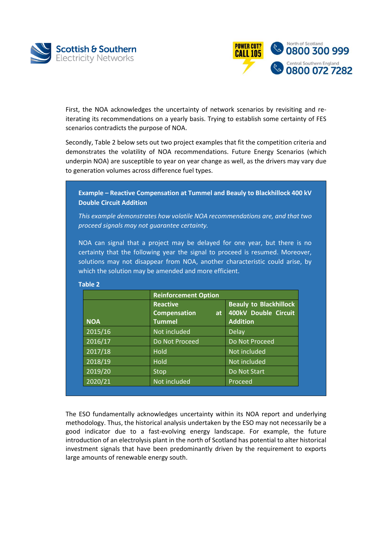



First, the NOA acknowledges the uncertainty of network scenarios by revisiting and reiterating its recommendations on a yearly basis. Trying to establish some certainty of FES scenarios contradicts the purpose of NOA.

Secondly, Table 2 below sets out two project examples that fit the competition criteria and demonstrates the volatility of NOA recommendations. Future Energy Scenarios (which underpin NOA) are susceptible to year on year change as well, as the drivers may vary due to generation volumes across difference fuel types.

**Example – Reactive Compensation at Tummel and Beauly to Blackhillock 400 kV Double Circuit Addition**

*This example demonstrates how volatile NOA recommendations are, and that two proceed signals may not guarantee certainty.*

NOA can signal that a project may be delayed for one year, but there is no certainty that the following year the signal to proceed is resumed. Moreover, solutions may not disappear from NOA, another characteristic could arise, by which the solution may be amended and more efficient.

|            | <b>Reinforcement Option</b>                             |                                                                                |  |
|------------|---------------------------------------------------------|--------------------------------------------------------------------------------|--|
| <b>NOA</b> | <b>Reactive</b><br><b>Compensation</b><br><b>Tummel</b> | <b>Beauly to Blackhillock</b><br>400kV Double Circuit<br>at<br><b>Addition</b> |  |
| 2015/16    | Not included                                            | <b>Delay</b>                                                                   |  |
| 2016/17    | Do Not Proceed                                          | Do Not Proceed                                                                 |  |
| 2017/18    | Hold                                                    | Not included                                                                   |  |
| 2018/19    | <b>Hold</b>                                             | Not included                                                                   |  |
| 2019/20    | Stop                                                    | Do Not Start                                                                   |  |
| 2020/21    | Not included                                            | Proceed                                                                        |  |

**Table 2**

The ESO fundamentally acknowledges uncertainty within its NOA report and underlying methodology. Thus, the historical analysis undertaken by the ESO may not necessarily be a good indicator due to a fast-evolving energy landscape. For example, the future introduction of an electrolysis plant in the north of Scotland has potential to alter historical investment signals that have been predominantly driven by the requirement to exports large amounts of renewable energy south.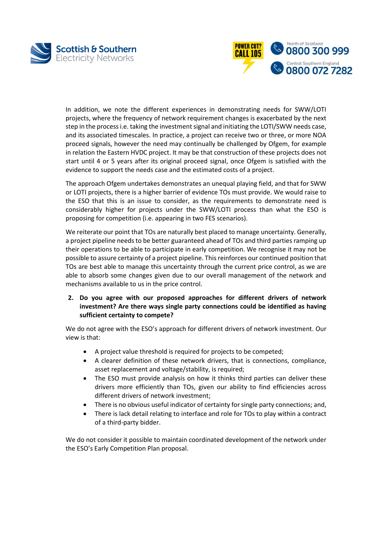



In addition, we note the different experiences in demonstrating needs for SWW/LOTI projects, where the frequency of network requirement changes is exacerbated by the next step in the process i.e. taking the investment signal and initiating the LOTI/SWW needs case, and its associated timescales. In practice, a project can receive two or three, or more NOA proceed signals, however the need may continually be challenged by Ofgem, for example in relation the Eastern HVDC project. It may be that construction of these projects does not start until 4 or 5 years after its original proceed signal, once Ofgem is satisfied with the evidence to support the needs case and the estimated costs of a project.

The approach Ofgem undertakes demonstrates an unequal playing field, and that for SWW or LOTI projects, there is a higher barrier of evidence TOs must provide. We would raise to the ESO that this is an issue to consider, as the requirements to demonstrate need is considerably higher for projects under the SWW/LOTI process than what the ESO is proposing for competition (i.e. appearing in two FES scenarios).

We reiterate our point that TOs are naturally best placed to manage uncertainty. Generally, a project pipeline needs to be better guaranteed ahead of TOs and third parties ramping up their operations to be able to participate in early competition. We recognise it may not be possible to assure certainty of a project pipeline. This reinforces our continued position that TOs are best able to manage this uncertainty through the current price control, as we are able to absorb some changes given due to our overall management of the network and mechanisms available to us in the price control.

**2. Do you agree with our proposed approaches for different drivers of network investment? Are there ways single party connections could be identified as having sufficient certainty to compete?**

We do not agree with the ESO's approach for different drivers of network investment. Our view is that:

- A project value threshold is required for projects to be competed;
- A clearer definition of these network drivers, that is connections, compliance, asset replacement and voltage/stability, is required;
- The ESO must provide analysis on how it thinks third parties can deliver these drivers more efficiently than TOs, given our ability to find efficiencies across different drivers of network investment;
- There is no obvious useful indicator of certainty for single party connections; and,
- There is lack detail relating to interface and role for TOs to play within a contract of a third-party bidder.

We do not consider it possible to maintain coordinated development of the network under the ESO's Early Competition Plan proposal.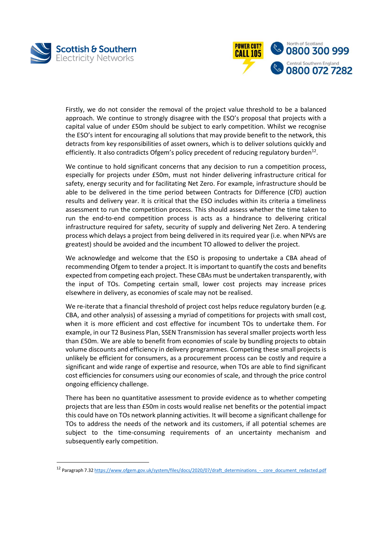

l



Firstly, we do not consider the removal of the project value threshold to be a balanced approach. We continue to strongly disagree with the ESO's proposal that projects with a capital value of under £50m should be subject to early competition. Whilst we recognise the ESO's intent for encouraging all solutions that may provide benefit to the network, this detracts from key responsibilities of asset owners, which is to deliver solutions quickly and efficiently. It also contradicts Ofgem's policy precedent of reducing regulatory burden<sup>12</sup>.

We continue to hold significant concerns that any decision to run a competition process, especially for projects under £50m, must not hinder delivering infrastructure critical for safety, energy security and for facilitating Net Zero. For example, infrastructure should be able to be delivered in the time period between Contracts for Difference (CfD) auction results and delivery year. It is critical that the ESO includes within its criteria a timeliness assessment to run the competition process. This should assess whether the time taken to run the end-to-end competition process is acts as a hindrance to delivering critical infrastructure required for safety, security of supply and delivering Net Zero. A tendering process which delays a project from being delivered in its required year (i.e. when NPVs are greatest) should be avoided and the incumbent TO allowed to deliver the project.

We acknowledge and welcome that the ESO is proposing to undertake a CBA ahead of recommending Ofgem to tender a project. It is important to quantify the costs and benefits expected from competing each project. These CBAs must be undertaken transparently, with the input of TOs. Competing certain small, lower cost projects may increase prices elsewhere in delivery, as economies of scale may not be realised.

We re-iterate that a financial threshold of project cost helps reduce regulatory burden (e.g. CBA, and other analysis) of assessing a myriad of competitions for projects with small cost, when it is more efficient and cost effective for incumbent TOs to undertake them. For example, in our T2 Business Plan, SSEN Transmission has several smaller projects worth less than £50m. We are able to benefit from economies of scale by bundling projects to obtain volume discounts and efficiency in delivery programmes. Competing these small projects is unlikely be efficient for consumers, as a procurement process can be costly and require a significant and wide range of expertise and resource, when TOs are able to find significant cost efficiencies for consumers using our economies of scale, and through the price control ongoing efficiency challenge.

There has been no quantitative assessment to provide evidence as to whether competing projects that are less than £50m in costs would realise net benefits or the potential impact this could have on TOs network planning activities. It will become a significant challenge for TOs to address the needs of the network and its customers, if all potential schemes are subject to the time-consuming requirements of an uncertainty mechanism and subsequently early competition.

<sup>12</sup> Paragraph 7.3[2 https://www.ofgem.gov.uk/system/files/docs/2020/07/draft\\_determinations\\_-\\_core\\_document\\_redacted.pdf](https://www.ofgem.gov.uk/system/files/docs/2020/07/draft_determinations_-_core_document_redacted.pdf)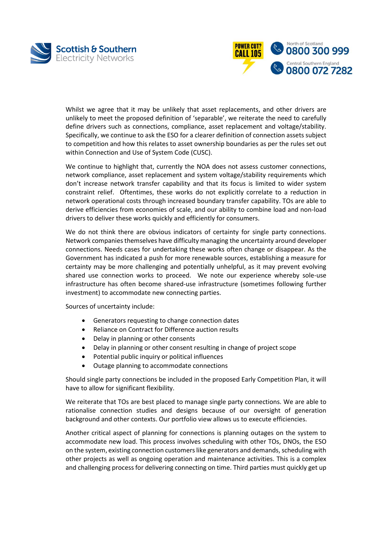



Whilst we agree that it may be unlikely that asset replacements, and other drivers are unlikely to meet the proposed definition of 'separable', we reiterate the need to carefully define drivers such as connections, compliance, asset replacement and voltage/stability. Specifically, we continue to ask the ESO for a clearer definition of connection assets subject to competition and how this relates to asset ownership boundaries as per the rules set out within Connection and Use of System Code (CUSC).

We continue to highlight that, currently the NOA does not assess customer connections, network compliance, asset replacement and system voltage/stability requirements which don't increase network transfer capability and that its focus is limited to wider system constraint relief. Oftentimes, these works do not explicitly correlate to a reduction in network operational costs through increased boundary transfer capability. TOs are able to derive efficiencies from economies of scale, and our ability to combine load and non-load drivers to deliver these works quickly and efficiently for consumers.

We do not think there are obvious indicators of certainty for single party connections. Network companies themselves have difficulty managing the uncertainty around developer connections. Needs cases for undertaking these works often change or disappear. As the Government has indicated a push for more renewable sources, establishing a measure for certainty may be more challenging and potentially unhelpful, as it may prevent evolving shared use connection works to proceed. We note our experience whereby sole-use infrastructure has often become shared-use infrastructure (sometimes following further investment) to accommodate new connecting parties.

Sources of uncertainty include:

- Generators requesting to change connection dates
- Reliance on Contract for Difference auction results
- Delay in planning or other consents
- Delay in planning or other consent resulting in change of project scope
- Potential public inquiry or political influences
- Outage planning to accommodate connections

Should single party connections be included in the proposed Early Competition Plan, it will have to allow for significant flexibility.

We reiterate that TOs are best placed to manage single party connections. We are able to rationalise connection studies and designs because of our oversight of generation background and other contexts. Our portfolio view allows us to execute efficiencies.

Another critical aspect of planning for connections is planning outages on the system to accommodate new load. This process involves scheduling with other TOs, DNOs, the ESO on the system, existing connection customers like generators and demands, scheduling with other projects as well as ongoing operation and maintenance activities. This is a complex and challenging process for delivering connecting on time. Third parties must quickly get up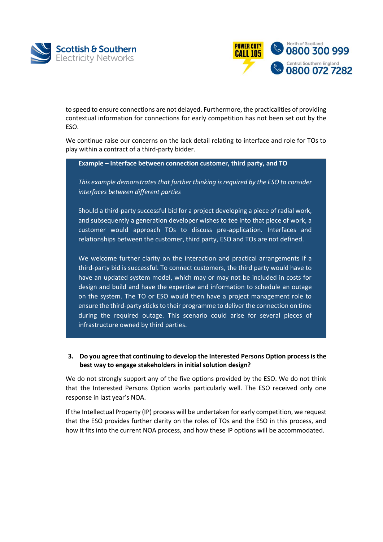



to speed to ensure connections are not delayed. Furthermore, the practicalities of providing contextual information for connections for early competition has not been set out by the ESO.

We continue raise our concerns on the lack detail relating to interface and role for TOs to play within a contract of a third-party bidder.

**Example – Interface between connection customer, third party, and TO**

*This example demonstrates that further thinking is required by the ESO to consider interfaces between different parties*

Should a third-party successful bid for a project developing a piece of radial work, and subsequently a generation developer wishes to tee into that piece of work, a customer would approach TOs to discuss pre-application. Interfaces and relationships between the customer, third party, ESO and TOs are not defined.

We welcome further clarity on the interaction and practical arrangements if a third-party bid is successful. To connect customers, the third party would have to have an updated system model, which may or may not be included in costs for design and build and have the expertise and information to schedule an outage on the system. The TO or ESO would then have a project management role to ensure the third-party sticks to their programme to deliver the connection on time during the required outage. This scenario could arise for several pieces of infrastructure owned by third parties.

**3. Do you agree that continuing to develop the Interested Persons Option process is the best way to engage stakeholders in initial solution design?**

We do not strongly support any of the five options provided by the ESO. We do not think that the Interested Persons Option works particularly well. The ESO received only one response in last year's NOA.

If the Intellectual Property (IP) process will be undertaken for early competition, we request that the ESO provides further clarity on the roles of TOs and the ESO in this process, and how it fits into the current NOA process, and how these IP options will be accommodated.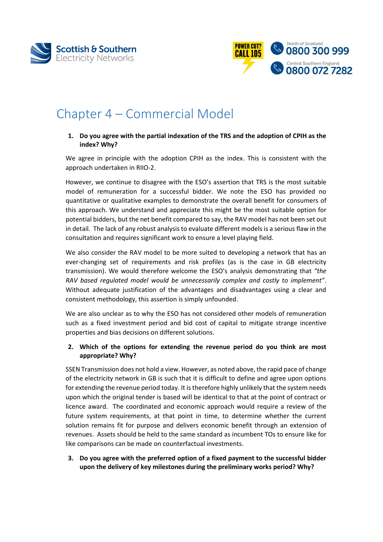



## Chapter 4 – Commercial Model

### **1. Do you agree with the partial indexation of the TRS and the adoption of CPIH as the index? Why?**

We agree in principle with the adoption CPIH as the index. This is consistent with the approach undertaken in RIIO-2.

However, we continue to disagree with the ESO's assertion that TRS is the most suitable model of remuneration for a successful bidder. We note the ESO has provided no quantitative or qualitative examples to demonstrate the overall benefit for consumers of this approach. We understand and appreciate this might be the most suitable option for potential bidders, but the net benefit compared to say, the RAV model has not been set out in detail. The lack of any robust analysis to evaluate different models is a serious flaw in the consultation and requires significant work to ensure a level playing field.

We also consider the RAV model to be more suited to developing a network that has an ever-changing set of requirements and risk profiles (as is the case in GB electricity transmission). We would therefore welcome the ESO's analysis demonstrating that *"the RAV based regulated model would be unnecessarily complex and costly to implement"*. Without adequate justification of the advantages and disadvantages using a clear and consistent methodology, this assertion is simply unfounded.

We are also unclear as to why the ESO has not considered other models of remuneration such as a fixed investment period and bid cost of capital to mitigate strange incentive properties and bias decisions on different solutions.

#### **2. Which of the options for extending the revenue period do you think are most appropriate? Why?**

SSEN Transmission does not hold a view. However, as noted above, the rapid pace of change of the electricity network in GB is such that it is difficult to define and agree upon options for extending the revenue period today. It is therefore highly unlikely that the system needs upon which the original tender is based will be identical to that at the point of contract or licence award. The coordinated and economic approach would require a review of the future system requirements, at that point in time, to determine whether the current solution remains fit for purpose and delivers economic benefit through an extension of revenues. Assets should be held to the same standard as incumbent TOs to ensure like for like comparisons can be made on counterfactual investments.

**3. Do you agree with the preferred option of a fixed payment to the successful bidder upon the delivery of key milestones during the preliminary works period? Why?**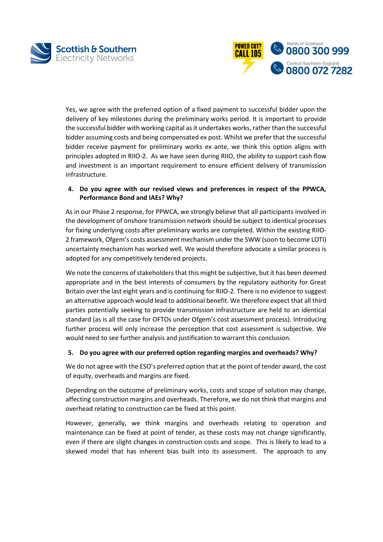



Yes, we agree with the preferred option of a fixed payment to successful bidder upon the delivery of key milestones during the preliminary works period. It is important to provide the successful bidder with working capital as it undertakes works, rather than the successful bidder assuming costs and being compensated ex post. Whilst we prefer that the successful bidder receive payment for preliminary works ex ante, we think this option aligns with principles adopted in RIIO-2. As we have seen during RIIO, the ability to support cash flow and investment is an important requirement to ensure efficient delivery of transmission infrastructure.

### **4. Do you agree with our revised views and preferences in respect of the PPWCA, Performance Bond and IAEs? Why?**

As in our Phase 2 response, for PPWCA, we strongly believe that all participants involved in the development of onshore transmission network should be subject to identical processes for fixing underlying costs after preliminary works are completed. Within the existing RIIO-2 framework, Ofgem's costs assessment mechanism under the SWW (soon to become LOTI) uncertainty mechanism has worked well. We would therefore advocate a similar process is adopted for any competitively tendered projects.

We note the concerns of stakeholders that this might be subjective, but it has been deemed appropriate and in the best interests of consumers by the regulatory authority for Great Britain over the last eight years and is continuing for RIIO-2. There is no evidence to suggest an alternative approach would lead to additional benefit. We therefore expect that all third parties potentially seeking to provide transmission infrastructure are held to an identical standard (as is all the case for OFTOs under Ofgem's cost assessment process). Introducing further process will only increase the perception that cost assessment is subjective. We would need to see further analysis and justification to warrant this conclusion.

#### **5. Do you agree with our preferred option regarding margins and overheads? Why?**

We do not agree with the ESO's preferred option that at the point of tender award, the cost of equity, overheads and margins are fixed.

Depending on the outcome of preliminary works, costs and scope of solution may change, affecting construction margins and overheads. Therefore, we do not think that margins and overhead relating to construction can be fixed at this point.

However, generally, we think margins and overheads relating to operation and maintenance can be fixed at point of tender, as these costs may not change significantly, even if there are slight changes in construction costs and scope. This is likely to lead to a skewed model that has inherent bias built into its assessment. The approach to any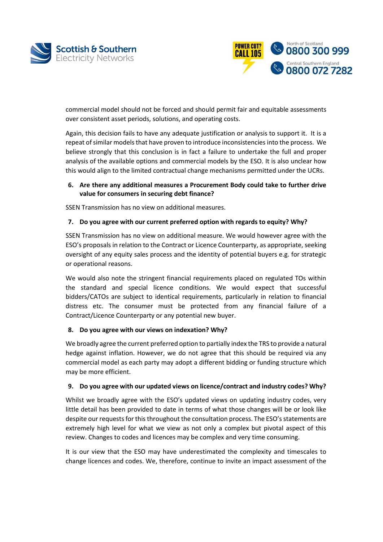



commercial model should not be forced and should permit fair and equitable assessments over consistent asset periods, solutions, and operating costs.

Again, this decision fails to have any adequate justification or analysis to support it. It is a repeat of similar models that have proven to introduce inconsistencies into the process. We believe strongly that this conclusion is in fact a failure to undertake the full and proper analysis of the available options and commercial models by the ESO. It is also unclear how this would align to the limited contractual change mechanisms permitted under the UCRs.

### **6. Are there any additional measures a Procurement Body could take to further drive value for consumers in securing debt finance?**

SSEN Transmission has no view on additional measures.

#### **7. Do you agree with our current preferred option with regards to equity? Why?**

SSEN Transmission has no view on additional measure. We would however agree with the ESO's proposals in relation to the Contract or Licence Counterparty, as appropriate, seeking oversight of any equity sales process and the identity of potential buyers e.g. for strategic or operational reasons.

We would also note the stringent financial requirements placed on regulated TOs within the standard and special licence conditions. We would expect that successful bidders/CATOs are subject to identical requirements, particularly in relation to financial distress etc. The consumer must be protected from any financial failure of a Contract/Licence Counterparty or any potential new buyer.

#### **8. Do you agree with our views on indexation? Why?**

We broadly agree the current preferred option to partially index the TRS to provide a natural hedge against inflation. However, we do not agree that this should be required via any commercial model as each party may adopt a different bidding or funding structure which may be more efficient.

#### **9. Do you agree with our updated views on licence/contract and industry codes? Why?**

Whilst we broadly agree with the ESO's updated views on updating industry codes, very little detail has been provided to date in terms of what those changes will be or look like despite our requests for this throughout the consultation process. The ESO's statements are extremely high level for what we view as not only a complex but pivotal aspect of this review. Changes to codes and licences may be complex and very time consuming.

It is our view that the ESO may have underestimated the complexity and timescales to change licences and codes. We, therefore, continue to invite an impact assessment of the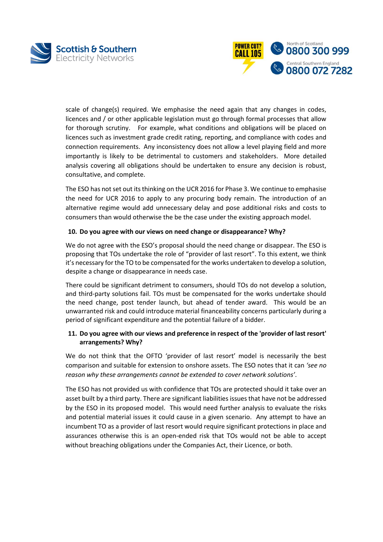



scale of change(s) required. We emphasise the need again that any changes in codes, licences and / or other applicable legislation must go through formal processes that allow for thorough scrutiny. For example, what conditions and obligations will be placed on licences such as investment grade credit rating, reporting, and compliance with codes and connection requirements. Any inconsistency does not allow a level playing field and more importantly is likely to be detrimental to customers and stakeholders. More detailed analysis covering all obligations should be undertaken to ensure any decision is robust, consultative, and complete.

The ESO has not set out its thinking on the UCR 2016 for Phase 3. We continue to emphasise the need for UCR 2016 to apply to any procuring body remain. The introduction of an alternative regime would add unnecessary delay and pose additional risks and costs to consumers than would otherwise the be the case under the existing approach model.

#### **10. Do you agree with our views on need change or disappearance? Why?**

We do not agree with the ESO's proposal should the need change or disappear. The ESO is proposing that TOs undertake the role of "provider of last resort". To this extent, we think it's necessary for the TO to be compensated for the works undertaken to develop a solution, despite a change or disappearance in needs case.

There could be significant detriment to consumers, should TOs do not develop a solution, and third-party solutions fail. TOs must be compensated for the works undertake should the need change, post tender launch, but ahead of tender award. This would be an unwarranted risk and could introduce material financeability concerns particularly during a period of significant expenditure and the potential failure of a bidder.

#### **11. Do you agree with our views and preference in respect of the 'provider of last resort' arrangements? Why?**

We do not think that the OFTO 'provider of last resort' model is necessarily the best comparison and suitable for extension to onshore assets. The ESO notes that it can *'see no reason why these arrangements cannot be extended to cover network solutions'*.

The ESO has not provided us with confidence that TOs are protected should it take over an asset built by a third party. There are significant liabilities issues that have not be addressed by the ESO in its proposed model. This would need further analysis to evaluate the risks and potential material issues it could cause in a given scenario. Any attempt to have an incumbent TO as a provider of last resort would require significant protections in place and assurances otherwise this is an open-ended risk that TOs would not be able to accept without breaching obligations under the Companies Act, their Licence, or both.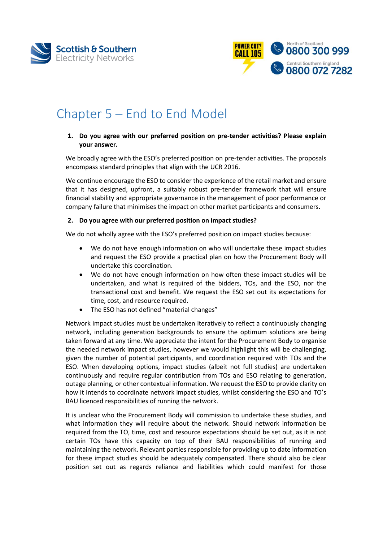



## Chapter 5 – End to End Model

#### **1. Do you agree with our preferred position on pre-tender activities? Please explain your answer.**

We broadly agree with the ESO's preferred position on pre-tender activities. The proposals encompass standard principles that align with the UCR 2016.

We continue encourage the ESO to consider the experience of the retail market and ensure that it has designed, upfront, a suitably robust pre-tender framework that will ensure financial stability and appropriate governance in the management of poor performance or company failure that minimises the impact on other market participants and consumers.

#### **2. Do you agree with our preferred position on impact studies?**

We do not wholly agree with the ESO's preferred position on impact studies because:

- We do not have enough information on who will undertake these impact studies and request the ESO provide a practical plan on how the Procurement Body will undertake this coordination.
- We do not have enough information on how often these impact studies will be undertaken, and what is required of the bidders, TOs, and the ESO, nor the transactional cost and benefit. We request the ESO set out its expectations for time, cost, and resource required.
- The ESO has not defined "material changes"

Network impact studies must be undertaken iteratively to reflect a continuously changing network, including generation backgrounds to ensure the optimum solutions are being taken forward at any time. We appreciate the intent for the Procurement Body to organise the needed network impact studies, however we would highlight this will be challenging, given the number of potential participants, and coordination required with TOs and the ESO. When developing options, impact studies (albeit not full studies) are undertaken continuously and require regular contribution from TOs and ESO relating to generation, outage planning, or other contextual information. We request the ESO to provide clarity on how it intends to coordinate network impact studies, whilst considering the ESO and TO's BAU licenced responsibilities of running the network.

It is unclear who the Procurement Body will commission to undertake these studies, and what information they will require about the network. Should network information be required from the TO, time, cost and resource expectations should be set out, as it is not certain TOs have this capacity on top of their BAU responsibilities of running and maintaining the network. Relevant parties responsible for providing up to date information for these impact studies should be adequately compensated. There should also be clear position set out as regards reliance and liabilities which could manifest for those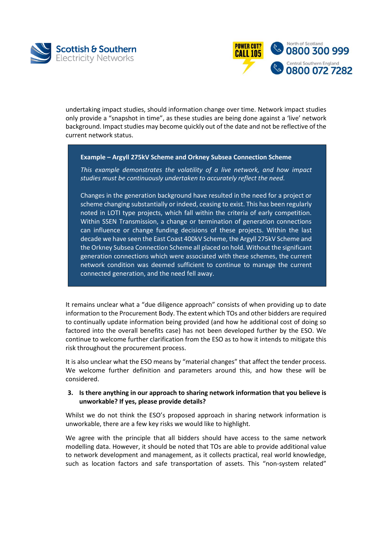



undertaking impact studies, should information change over time. Network impact studies only provide a "snapshot in time", as these studies are being done against a 'live' network background. Impact studies may become quickly out of the date and not be reflective of the current network status.

#### **Example – Argyll 275kV Scheme and Orkney Subsea Connection Scheme**

*This example demonstrates the volatility of a live network, and how impact studies must be continuously undertaken to accurately reflect the need.*

Changes in the generation background have resulted in the need for a project or scheme changing substantially or indeed, ceasing to exist. This has been regularly noted in LOTI type projects, which fall within the criteria of early competition. Within SSEN Transmission, a change or termination of generation connections can influence or change funding decisions of these projects. Within the last decade we have seen the East Coast 400kV Scheme, the Argyll 275kV Scheme and the Orkney Subsea Connection Scheme all placed on hold. Without the significant generation connections which were associated with these schemes, the current network condition was deemed sufficient to continue to manage the current connected generation, and the need fell away.

It remains unclear what a "due diligence approach" consists of when providing up to date information to the Procurement Body. The extent which TOs and other bidders are required to continually update information being provided (and how he additional cost of doing so factored into the overall benefits case) has not been developed further by the ESO. We continue to welcome further clarification from the ESO as to how it intends to mitigate this risk throughout the procurement process.

It is also unclear what the ESO means by "material changes" that affect the tender process. We welcome further definition and parameters around this, and how these will be considered.

#### **3. Is there anything in our approach to sharing network information that you believe is unworkable? If yes, please provide details?**

Whilst we do not think the ESO's proposed approach in sharing network information is unworkable, there are a few key risks we would like to highlight.

We agree with the principle that all bidders should have access to the same network modelling data. However, it should be noted that TOs are able to provide additional value to network development and management, as it collects practical, real world knowledge, such as location factors and safe transportation of assets. This "non-system related"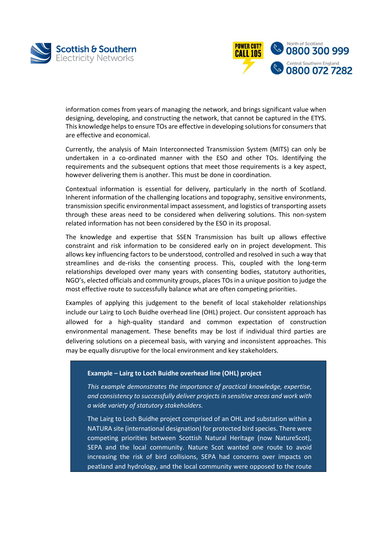



information comes from years of managing the network, and brings significant value when designing, developing, and constructing the network, that cannot be captured in the ETYS. This knowledge helps to ensure TOs are effective in developing solutions for consumers that are effective and economical.

Currently, the analysis of Main Interconnected Transmission System (MITS) can only be undertaken in a co-ordinated manner with the ESO and other TOs. Identifying the requirements and the subsequent options that meet those requirements is a key aspect, however delivering them is another. This must be done in coordination.

Contextual information is essential for delivery, particularly in the north of Scotland. Inherent information of the challenging locations and topography, sensitive environments, transmission specific environmental impact assessment, and logistics of transporting assets through these areas need to be considered when delivering solutions. This non-system related information has not been considered by the ESO in its proposal.

The knowledge and expertise that SSEN Transmission has built up allows effective constraint and risk information to be considered early on in project development. This allows key influencing factors to be understood, controlled and resolved in such a way that streamlines and de-risks the consenting process. This, coupled with the long-term relationships developed over many years with consenting bodies, statutory authorities, NGO's, elected officials and community groups, places TOs in a unique position to judge the most effective route to successfully balance what are often competing priorities.

Examples of applying this judgement to the benefit of local stakeholder relationships include our Lairg to Loch Buidhe overhead line (OHL) project. Our consistent approach has allowed for a high-quality standard and common expectation of construction environmental management. These benefits may be lost if individual third parties are delivering solutions on a piecemeal basis, with varying and inconsistent approaches. This may be equally disruptive for the local environment and key stakeholders.

#### **Example – Lairg to Loch Buidhe overhead line (OHL) project**

*This example demonstrates the importance of practical knowledge, expertise, and consistency to successfully deliver projects in sensitive areas and work with a wide variety of statutory stakeholders.*

The Lairg to Loch Buidhe project comprised of an OHL and substation within a NATURA site (international designation) for protected bird species. There were competing priorities between Scottish Natural Heritage (now NatureScot), SEPA and the local community. Nature Scot wanted one route to avoid increasing the risk of bird collisions, SEPA had concerns over impacts on peatland and hydrology, and the local community were opposed to the route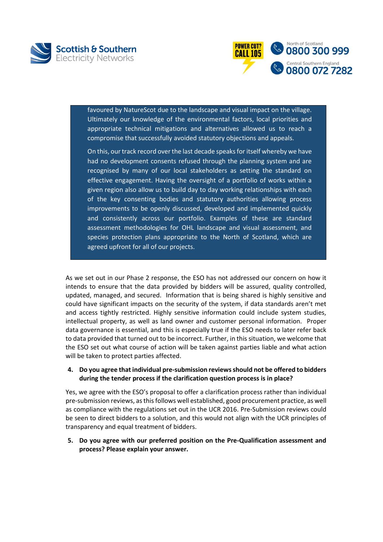



favoured by NatureScot due to the landscape and visual impact on the village. Ultimately our knowledge of the environmental factors, local priorities and appropriate technical mitigations and alternatives allowed us to reach a compromise that successfully avoided statutory objections and appeals.

On this, our track record over the last decade speaks for itself whereby we have had no development consents refused through the planning system and are recognised by many of our local stakeholders as setting the standard on effective engagement. Having the oversight of a portfolio of works within a given region also allow us to build day to day working relationships with each of the key consenting bodies and statutory authorities allowing process improvements to be openly discussed, developed and implemented quickly and consistently across our portfolio. Examples of these are standard assessment methodologies for OHL landscape and visual assessment, and species protection plans appropriate to the North of Scotland, which are agreed upfront for all of our projects.

As we set out in our Phase 2 response, the ESO has not addressed our concern on how it intends to ensure that the data provided by bidders will be assured, quality controlled, updated, managed, and secured. Information that is being shared is highly sensitive and could have significant impacts on the security of the system, if data standards aren't met and access tightly restricted. Highly sensitive information could include system studies, intellectual property, as well as land owner and customer personal information. Proper data governance is essential, and this is especially true if the ESO needs to later refer back to data provided that turned out to be incorrect. Further, in this situation, we welcome that the ESO set out what course of action will be taken against parties liable and what action will be taken to protect parties affected.

#### **4. Do you agree that individual pre-submission reviews should not be offered to bidders during the tender process if the clarification question process is in place?**

Yes, we agree with the ESO's proposal to offer a clarification process rather than individual pre-submission reviews, as this follows well established, good procurement practice, as well as compliance with the regulations set out in the UCR 2016. Pre-Submission reviews could be seen to direct bidders to a solution, and this would not align with the UCR principles of transparency and equal treatment of bidders.

**5. Do you agree with our preferred position on the Pre-Qualification assessment and process? Please explain your answer.**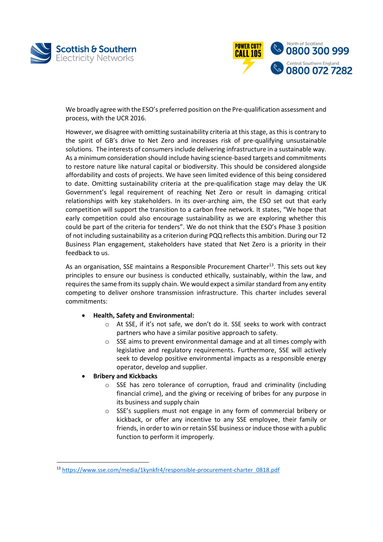



We broadly agree with the ESO's preferred position on the Pre-qualification assessment and process, with the UCR 2016.

However, we disagree with omitting sustainability criteria at this stage, as this is contrary to the spirit of GB's drive to Net Zero and increases risk of pre-qualifying unsustainable solutions. The interests of consumers include delivering infrastructure in a sustainable way. As a minimum consideration should include having science-based targets and commitments to restore nature like natural capital or biodiversity. This should be considered alongside affordability and costs of projects. We have seen limited evidence of this being considered to date. Omitting sustainability criteria at the pre-qualification stage may delay the UK Government's legal requirement of reaching Net Zero or result in damaging critical relationships with key stakeholders. In its over-arching aim, the ESO set out that early competition will support the transition to a carbon free network. It states, "We hope that early competition could also encourage sustainability as we are exploring whether this could be part of the criteria for tenders". We do not think that the ESO's Phase 3 position of not including sustainability as a criterion during PQQ reflects this ambition. During our T2 Business Plan engagement, stakeholders have stated that Net Zero is a priority in their feedback to us.

As an organisation, SSE maintains a Responsible Procurement Charter<sup>13</sup>. This sets out key principles to ensure our business is conducted ethically, sustainably, within the law, and requires the same from its supply chain. We would expect a similar standard from any entity competing to deliver onshore transmission infrastructure. This charter includes several commitments:

#### • **Health, Safety and Environmental:**

- o At SSE, if it's not safe, we don't do it. SSE seeks to work with contract partners who have a similar positive approach to safety.
- o SSE aims to prevent environmental damage and at all times comply with legislative and regulatory requirements. Furthermore, SSE will actively seek to develop positive environmental impacts as a responsible energy operator, develop and supplier.

#### • **Bribery and Kickbacks**

l

- o SSE has zero tolerance of corruption, fraud and criminality (including financial crime), and the giving or receiving of bribes for any purpose in its business and supply chain
- o SSE's suppliers must not engage in any form of commercial bribery or kickback, or offer any incentive to any SSE employee, their family or friends, in order to win or retain SSE business or induce those with a public function to perform it improperly.

<sup>13</sup> [https://www.sse.com/media/1kynkfr4/responsible-procurement-charter\\_0818.pdf](https://www.sse.com/media/1kynkfr4/responsible-procurement-charter_0818.pdf)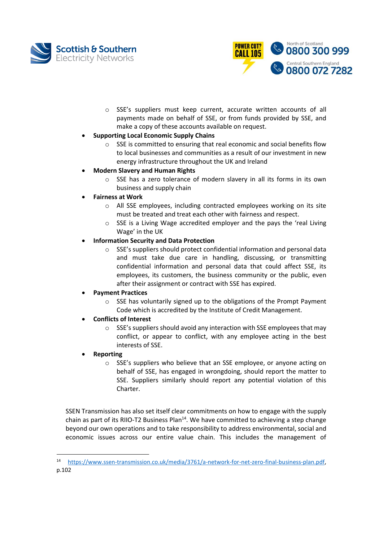



o SSE's suppliers must keep current, accurate written accounts of all payments made on behalf of SSE, or from funds provided by SSE, and make a copy of these accounts available on request.

## • **Supporting Local Economic Supply Chains**

o SSE is committed to ensuring that real economic and social benefits flow to local businesses and communities as a result of our investment in new energy infrastructure throughout the UK and Ireland

## • **Modern Slavery and Human Rights**

o SSE has a zero tolerance of modern slavery in all its forms in its own business and supply chain

## • **Fairness at Work**

- $\circ$  All SSE employees, including contracted employees working on its site must be treated and treat each other with fairness and respect.
- o SSE is a Living Wage accredited employer and the pays the 'real Living Wage' in the UK

## • **Information Security and Data Protection**

o SSE's suppliers should protect confidential information and personal data and must take due care in handling, discussing, or transmitting confidential information and personal data that could affect SSE, its employees, its customers, the business community or the public, even after their assignment or contract with SSE has expired.

## • **Payment Practices**

 $\circ$  SSE has voluntarily signed up to the obligations of the Prompt Payment Code which is accredited by the Institute of Credit Management.

## • **Conflicts of Interest**

 $\circ$  SSE's suppliers should avoid any interaction with SSE employees that may conflict, or appear to conflict, with any employee acting in the best interests of SSE.

## • **Reporting**

 $\overline{\phantom{a}}$ 

o SSE's suppliers who believe that an SSE employee, or anyone acting on behalf of SSE, has engaged in wrongdoing, should report the matter to SSE. Suppliers similarly should report any potential violation of this Charter.

SSEN Transmission has also set itself clear commitments on how to engage with the supply chain as part of its RIIO-T2 Business Plan<sup>14</sup>. We have committed to achieving a step change beyond our own operations and to take responsibility to address environmental, social and economic issues across our entire value chain. This includes the management of

<sup>14</sup> [https://www.ssen-transmission.co.uk/media/3761/a-network-for-net-zero-final-business-plan.pdf,](https://www.ssen-transmission.co.uk/media/3761/a-network-for-net-zero-final-business-plan.pdf) p.102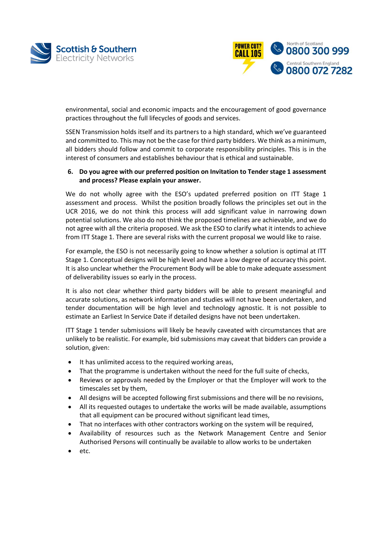



environmental, social and economic impacts and the encouragement of good governance practices throughout the full lifecycles of goods and services.

SSEN Transmission holds itself and its partners to a high standard, which we've guaranteed and committed to. This may not be the case for third party bidders. We think as a minimum, all bidders should follow and commit to corporate responsibility principles. This is in the interest of consumers and establishes behaviour that is ethical and sustainable.

#### **6. Do you agree with our preferred position on Invitation to Tender stage 1 assessment and process? Please explain your answer.**

We do not wholly agree with the ESO's updated preferred position on ITT Stage 1 assessment and process. Whilst the position broadly follows the principles set out in the UCR 2016, we do not think this process will add significant value in narrowing down potential solutions. We also do not think the proposed timelines are achievable, and we do not agree with all the criteria proposed. We ask the ESO to clarify what it intends to achieve from ITT Stage 1. There are several risks with the current proposal we would like to raise.

For example, the ESO is not necessarily going to know whether a solution is optimal at ITT Stage 1. Conceptual designs will be high level and have a low degree of accuracy this point. It is also unclear whether the Procurement Body will be able to make adequate assessment of deliverability issues so early in the process.

It is also not clear whether third party bidders will be able to present meaningful and accurate solutions, as network information and studies will not have been undertaken, and tender documentation will be high level and technology agnostic. It is not possible to estimate an Earliest In Service Date if detailed designs have not been undertaken.

ITT Stage 1 tender submissions will likely be heavily caveated with circumstances that are unlikely to be realistic. For example, bid submissions may caveat that bidders can provide a solution, given:

- It has unlimited access to the required working areas,
- That the programme is undertaken without the need for the full suite of checks,
- Reviews or approvals needed by the Employer or that the Employer will work to the timescales set by them,
- All designs will be accepted following first submissions and there will be no revisions,
- All its requested outages to undertake the works will be made available, assumptions that all equipment can be procured without significant lead times,
- That no interfaces with other contractors working on the system will be required,
- Availability of resources such as the Network Management Centre and Senior Authorised Persons will continually be available to allow works to be undertaken
- etc.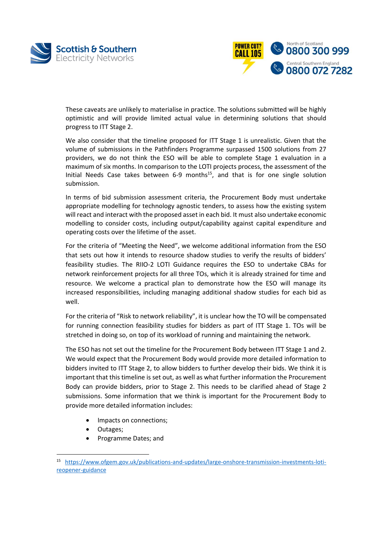



These caveats are unlikely to materialise in practice. The solutions submitted will be highly optimistic and will provide limited actual value in determining solutions that should progress to ITT Stage 2.

We also consider that the timeline proposed for ITT Stage 1 is unrealistic. Given that the volume of submissions in the Pathfinders Programme surpassed 1500 solutions from 27 providers, we do not think the ESO will be able to complete Stage 1 evaluation in a maximum of six months. In comparison to the LOTI projects process, the assessment of the Initial Needs Case takes between 6-9 months<sup>15</sup>, and that is for one single solution submission.

In terms of bid submission assessment criteria, the Procurement Body must undertake appropriate modelling for technology agnostic tenders, to assess how the existing system will react and interact with the proposed asset in each bid. It must also undertake economic modelling to consider costs, including output/capability against capital expenditure and operating costs over the lifetime of the asset.

For the criteria of "Meeting the Need", we welcome additional information from the ESO that sets out how it intends to resource shadow studies to verify the results of bidders' feasibility studies. The RIIO-2 LOTI Guidance requires the ESO to undertake CBAs for network reinforcement projects for all three TOs, which it is already strained for time and resource. We welcome a practical plan to demonstrate how the ESO will manage its increased responsibilities, including managing additional shadow studies for each bid as well.

For the criteria of "Risk to network reliability", it is unclear how the TO will be compensated for running connection feasibility studies for bidders as part of ITT Stage 1. TOs will be stretched in doing so, on top of its workload of running and maintaining the network.

The ESO has not set out the timeline for the Procurement Body between ITT Stage 1 and 2. We would expect that the Procurement Body would provide more detailed information to bidders invited to ITT Stage 2, to allow bidders to further develop their bids. We think it is important that this timeline is set out, as well as what further information the Procurement Body can provide bidders, prior to Stage 2. This needs to be clarified ahead of Stage 2 submissions. Some information that we think is important for the Procurement Body to provide more detailed information includes:

- Impacts on connections;
- Outages;

 $\overline{\phantom{a}}$ 

• Programme Dates; and

<sup>15</sup> [https://www.ofgem.gov.uk/publications-and-updates/large-onshore-transmission-investments-loti](https://www.ofgem.gov.uk/publications-and-updates/large-onshore-transmission-investments-loti-reopener-guidance)[reopener-guidance](https://www.ofgem.gov.uk/publications-and-updates/large-onshore-transmission-investments-loti-reopener-guidance)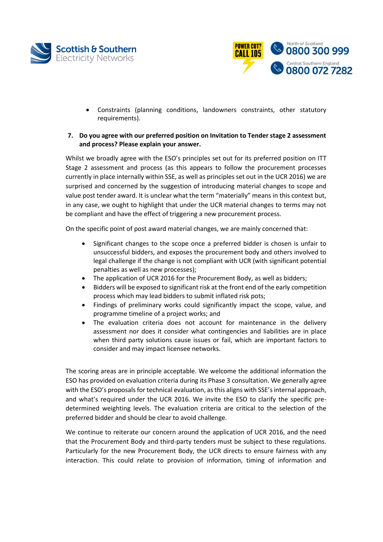



• Constraints (planning conditions, landowners constraints, other statutory requirements).

#### **7. Do you agree with our preferred position on Invitation to Tender stage 2 assessment and process? Please explain your answer.**

Whilst we broadly agree with the ESO's principles set out for its preferred position on ITT Stage 2 assessment and process (as this appears to follow the procurement processes currently in place internally within SSE, as well as principles set out in the UCR 2016) we are surprised and concerned by the suggestion of introducing material changes to scope and value post tender award. It is unclear what the term "materially" means in this context but, in any case, we ought to highlight that under the UCR material changes to terms may not be compliant and have the effect of triggering a new procurement process.

On the specific point of post award material changes, we are mainly concerned that:

- Significant changes to the scope once a preferred bidder is chosen is unfair to unsuccessful bidders, and exposes the procurement body and others involved to legal challenge if the change is not compliant with UCR (with significant potential penalties as well as new processes);
- The application of UCR 2016 for the Procurement Body, as well as bidders;
- Bidders will be exposed to significant risk at the front end of the early competition process which may lead bidders to submit inflated risk pots;
- Findings of preliminary works could significantly impact the scope, value, and programme timeline of a project works; and
- The evaluation criteria does not account for maintenance in the delivery assessment nor does it consider what contingencies and liabilities are in place when third party solutions cause issues or fail, which are important factors to consider and may impact licensee networks.

The scoring areas are in principle acceptable. We welcome the additional information the ESO has provided on evaluation criteria during its Phase 3 consultation. We generally agree with the ESO's proposals for technical evaluation, as this aligns with SSE's internal approach, and what's required under the UCR 2016. We invite the ESO to clarify the specific predetermined weighting levels. The evaluation criteria are critical to the selection of the preferred bidder and should be clear to avoid challenge.

We continue to reiterate our concern around the application of UCR 2016, and the need that the Procurement Body and third-party tenders must be subject to these regulations. Particularly for the new Procurement Body, the UCR directs to ensure fairness with any interaction. This could relate to provision of information, timing of information and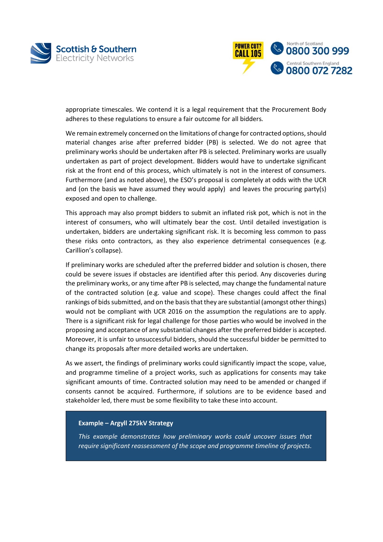



appropriate timescales. We contend it is a legal requirement that the Procurement Body adheres to these regulations to ensure a fair outcome for all bidders*.*

We remain extremely concerned on the limitations of change for contracted options, should material changes arise after preferred bidder (PB) is selected. We do not agree that preliminary works should be undertaken after PB is selected. Preliminary works are usually undertaken as part of project development. Bidders would have to undertake significant risk at the front end of this process, which ultimately is not in the interest of consumers. Furthermore (and as noted above), the ESO's proposal is completely at odds with the UCR and (on the basis we have assumed they would apply) and leaves the procuring party(s) exposed and open to challenge.

This approach may also prompt bidders to submit an inflated risk pot, which is not in the interest of consumers, who will ultimately bear the cost. Until detailed investigation is undertaken, bidders are undertaking significant risk. It is becoming less common to pass these risks onto contractors, as they also experience detrimental consequences (e.g. Carillion's collapse).

If preliminary works are scheduled after the preferred bidder and solution is chosen, there could be severe issues if obstacles are identified after this period. Any discoveries during the preliminary works, or any time after PB is selected, may change the fundamental nature of the contracted solution (e.g. value and scope). These changes could affect the final rankings of bids submitted, and on the basis that they are substantial (amongst other things) would not be compliant with UCR 2016 on the assumption the regulations are to apply. There is a significant risk for legal challenge for those parties who would be involved in the proposing and acceptance of any substantial changes after the preferred bidder is accepted. Moreover, it is unfair to unsuccessful bidders, should the successful bidder be permitted to change its proposals after more detailed works are undertaken.

As we assert, the findings of preliminary works could significantly impact the scope, value, and programme timeline of a project works, such as applications for consents may take significant amounts of time. Contracted solution may need to be amended or changed if consents cannot be acquired. Furthermore, if solutions are to be evidence based and stakeholder led, there must be some flexibility to take these into account.

#### **Example – Argyll 275kV Strategy**

*This example demonstrates how preliminary works could uncover issues that require significant reassessment of the scope and programme timeline of projects.*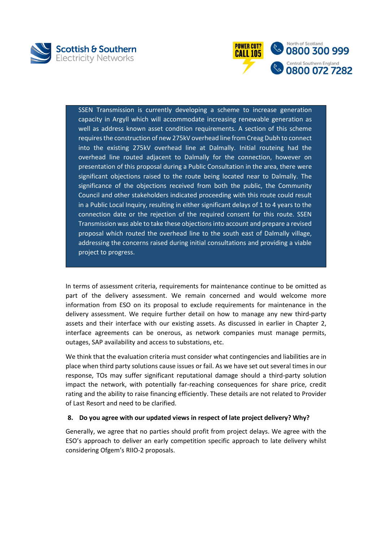



SSEN Transmission is currently developing a scheme to increase generation capacity in Argyll which will accommodate increasing renewable generation as well as address known asset condition requirements. A section of this scheme requires the construction of new 275kV overhead line from Creag Dubh to connect into the existing 275kV overhead line at Dalmally. Initial routeing had the overhead line routed adjacent to Dalmally for the connection, however on presentation of this proposal during a Public Consultation in the area, there were significant objections raised to the route being located near to Dalmally. The significance of the objections received from both the public, the Community Council and other stakeholders indicated proceeding with this route could result in a Public Local Inquiry, resulting in either significant delays of 1 to 4 years to the connection date or the rejection of the required consent for this route. SSEN Transmission was able to take these objections into account and prepare a revised proposal which routed the overhead line to the south east of Dalmally village, addressing the concerns raised during initial consultations and providing a viable project to progress.

In terms of assessment criteria, requirements for maintenance continue to be omitted as part of the delivery assessment. We remain concerned and would welcome more information from ESO on its proposal to exclude requirements for maintenance in the delivery assessment. We require further detail on how to manage any new third-party assets and their interface with our existing assets. As discussed in earlier in Chapter 2, interface agreements can be onerous, as network companies must manage permits, outages, SAP availability and access to substations, etc.

We think that the evaluation criteria must consider what contingencies and liabilities are in place when third party solutions cause issues or fail. As we have set out several times in our response, TOs may suffer significant reputational damage should a third-party solution impact the network, with potentially far-reaching consequences for share price, credit rating and the ability to raise financing efficiently. These details are not related to Provider of Last Resort and need to be clarified.

#### **8. Do you agree with our updated views in respect of late project delivery? Why?**

Generally, we agree that no parties should profit from project delays. We agree with the ESO's approach to deliver an early competition specific approach to late delivery whilst considering Ofgem's RIIO-2 proposals.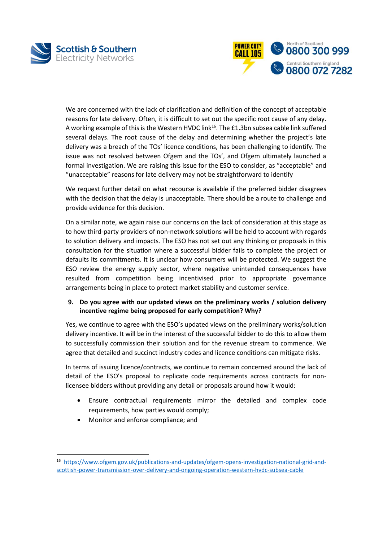



We are concerned with the lack of clarification and definition of the concept of acceptable reasons for late delivery. Often, it is difficult to set out the specific root cause of any delay. A working example of this is the Western HVDC link<sup>16</sup>. The £1.3bn subsea cable link suffered several delays. The root cause of the delay and determining whether the project's late delivery was a breach of the TOs' licence conditions, has been challenging to identify. The issue was not resolved between Ofgem and the TOs', and Ofgem ultimately launched a formal investigation. We are raising this issue for the ESO to consider, as "acceptable" and "unacceptable" reasons for late delivery may not be straightforward to identify

We request further detail on what recourse is available if the preferred bidder disagrees with the decision that the delay is unacceptable. There should be a route to challenge and provide evidence for this decision.

On a similar note, we again raise our concerns on the lack of consideration at this stage as to how third-party providers of non-network solutions will be held to account with regards to solution delivery and impacts. The ESO has not set out any thinking or proposals in this consultation for the situation where a successful bidder fails to complete the project or defaults its commitments. It is unclear how consumers will be protected. We suggest the ESO review the energy supply sector, where negative unintended consequences have resulted from competition being incentivised prior to appropriate governance arrangements being in place to protect market stability and customer service.

## **9. Do you agree with our updated views on the preliminary works / solution delivery incentive regime being proposed for early competition? Why?**

Yes, we continue to agree with the ESO's updated views on the preliminary works/solution delivery incentive. It will be in the interest of the successful bidder to do this to allow them to successfully commission their solution and for the revenue stream to commence. We agree that detailed and succinct industry codes and licence conditions can mitigate risks.

In terms of issuing licence/contracts, we continue to remain concerned around the lack of detail of the ESO's proposal to replicate code requirements across contracts for nonlicensee bidders without providing any detail or proposals around how it would:

- Ensure contractual requirements mirror the detailed and complex code requirements, how parties would comply;
- Monitor and enforce compliance; and

 $\overline{\phantom{a}}$ 

<sup>16</sup> [https://www.ofgem.gov.uk/publications-and-updates/ofgem-opens-investigation-national-grid-and](https://www.ofgem.gov.uk/publications-and-updates/ofgem-opens-investigation-national-grid-and-scottish-power-transmission-over-delivery-and-ongoing-operation-western-hvdc-subsea-cable)[scottish-power-transmission-over-delivery-and-ongoing-operation-western-hvdc-subsea-cable](https://www.ofgem.gov.uk/publications-and-updates/ofgem-opens-investigation-national-grid-and-scottish-power-transmission-over-delivery-and-ongoing-operation-western-hvdc-subsea-cable)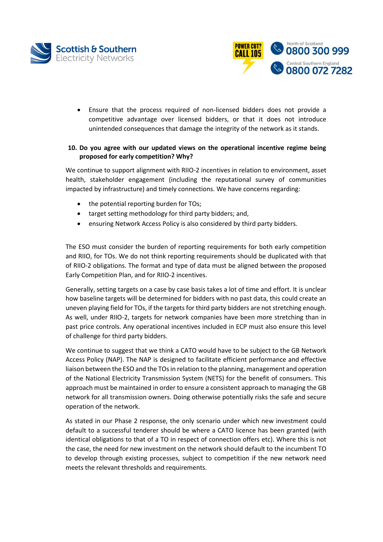



• Ensure that the process required of non-licensed bidders does not provide a competitive advantage over licensed bidders, or that it does not introduce unintended consequences that damage the integrity of the network as it stands.

### **10. Do you agree with our updated views on the operational incentive regime being proposed for early competition? Why?**

We continue to support alignment with RIIO-2 incentives in relation to environment, asset health, stakeholder engagement (including the reputational survey of communities impacted by infrastructure) and timely connections. We have concerns regarding:

- the potential reporting burden for TOs;
- target setting methodology for third party bidders; and,
- ensuring Network Access Policy is also considered by third party bidders.

The ESO must consider the burden of reporting requirements for both early competition and RIIO, for TOs. We do not think reporting requirements should be duplicated with that of RIIO-2 obligations. The format and type of data must be aligned between the proposed Early Competition Plan, and for RIIO-2 incentives.

Generally, setting targets on a case by case basis takes a lot of time and effort. It is unclear how baseline targets will be determined for bidders with no past data, this could create an uneven playing field for TOs, if the targets for third party bidders are not stretching enough. As well, under RIIO-2, targets for network companies have been more stretching than in past price controls. Any operational incentives included in ECP must also ensure this level of challenge for third party bidders.

We continue to suggest that we think a CATO would have to be subject to the GB Network Access Policy (NAP). The NAP is designed to facilitate efficient performance and effective liaison between the ESO and the TOs in relation to the planning, management and operation of the National Electricity Transmission System (NETS) for the benefit of consumers. This approach must be maintained in order to ensure a consistent approach to managing the GB network for all transmission owners. Doing otherwise potentially risks the safe and secure operation of the network.

As stated in our Phase 2 response, the only scenario under which new investment could default to a successful tenderer should be where a CATO licence has been granted (with identical obligations to that of a TO in respect of connection offers etc). Where this is not the case, the need for new investment on the network should default to the incumbent TO to develop through existing processes, subject to competition if the new network need meets the relevant thresholds and requirements.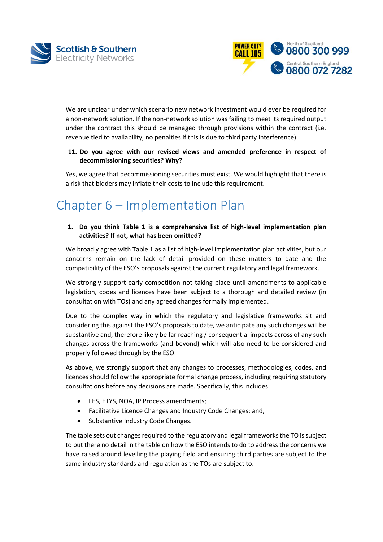



We are unclear under which scenario new network investment would ever be required for a non-network solution. If the non-network solution was failing to meet its required output under the contract this should be managed through provisions within the contract (i.e. revenue tied to availability, no penalties if this is due to third party interference).

## **11. Do you agree with our revised views and amended preference in respect of decommissioning securities? Why?**

Yes, we agree that decommissioning securities must exist. We would highlight that there is a risk that bidders may inflate their costs to include this requirement.

## Chapter 6 – Implementation Plan

**1. Do you think Table 1 is a comprehensive list of high-level implementation plan activities? If not, what has been omitted?**

We broadly agree with Table 1 as a list of high-level implementation plan activities, but our concerns remain on the lack of detail provided on these matters to date and the compatibility of the ESO's proposals against the current regulatory and legal framework.

We strongly support early competition not taking place until amendments to applicable legislation, codes and licences have been subject to a thorough and detailed review (in consultation with TOs) and any agreed changes formally implemented.

Due to the complex way in which the regulatory and legislative frameworks sit and considering this against the ESO's proposals to date, we anticipate any such changes will be substantive and, therefore likely be far reaching / consequential impacts across of any such changes across the frameworks (and beyond) which will also need to be considered and properly followed through by the ESO.

As above, we strongly support that any changes to processes, methodologies, codes, and licences should follow the appropriate formal change process, including requiring statutory consultations before any decisions are made. Specifically, this includes:

- FES, ETYS, NOA, IP Process amendments;
- Facilitative Licence Changes and Industry Code Changes; and,
- Substantive Industry Code Changes.

The table sets out changes required to the regulatory and legal frameworks the TO is subject to but there no detail in the table on how the ESO intends to do to address the concerns we have raised around levelling the playing field and ensuring third parties are subject to the same industry standards and regulation as the TOs are subject to.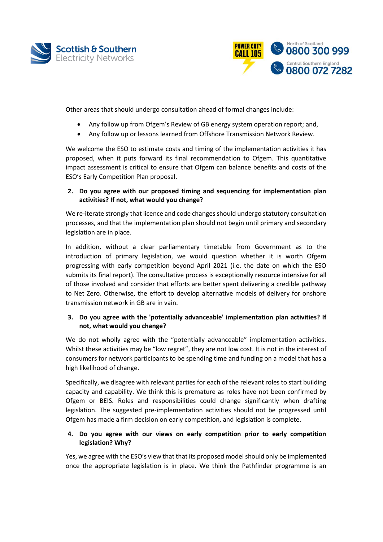



Other areas that should undergo consultation ahead of formal changes include:

- Any follow up from Ofgem's Review of GB energy system operation report; and,
- Any follow up or lessons learned from Offshore Transmission Network Review.

We welcome the ESO to estimate costs and timing of the implementation activities it has proposed, when it puts forward its final recommendation to Ofgem. This quantitative impact assessment is critical to ensure that Ofgem can balance benefits and costs of the ESO's Early Competition Plan proposal.

### **2. Do you agree with our proposed timing and sequencing for implementation plan activities? If not, what would you change?**

We re-iterate strongly that licence and code changes should undergo statutory consultation processes, and that the implementation plan should not begin until primary and secondary legislation are in place.

In addition, without a clear parliamentary timetable from Government as to the introduction of primary legislation, we would question whether it is worth Ofgem progressing with early competition beyond April 2021 (i.e. the date on which the ESO submits its final report). The consultative process is exceptionally resource intensive for all of those involved and consider that efforts are better spent delivering a credible pathway to Net Zero. Otherwise, the effort to develop alternative models of delivery for onshore transmission network in GB are in vain.

## **3. Do you agree with the 'potentially advanceable' implementation plan activities? If not, what would you change?**

We do not wholly agree with the "potentially advanceable" implementation activities. Whilst these activities may be "low regret", they are not low cost. It is not in the interest of consumers for network participants to be spending time and funding on a model that has a high likelihood of change.

Specifically, we disagree with relevant parties for each of the relevant roles to start building capacity and capability. We think this is premature as roles have not been confirmed by Ofgem or BEIS. Roles and responsibilities could change significantly when drafting legislation. The suggested pre-implementation activities should not be progressed until Ofgem has made a firm decision on early competition, and legislation is complete.

## **4. Do you agree with our views on early competition prior to early competition legislation? Why?**

Yes, we agree with the ESO's view that that its proposed model should only be implemented once the appropriate legislation is in place. We think the Pathfinder programme is an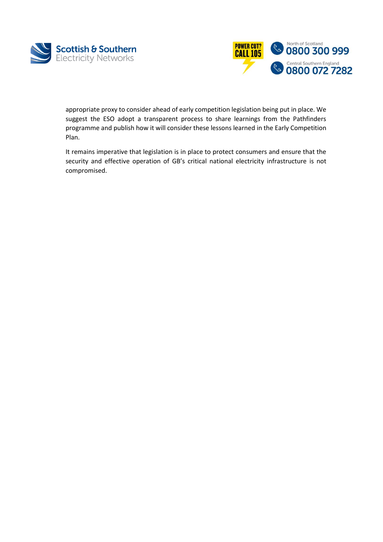



appropriate proxy to consider ahead of early competition legislation being put in place. We suggest the ESO adopt a transparent process to share learnings from the Pathfinders programme and publish how it will consider these lessons learned in the Early Competition Plan.

It remains imperative that legislation is in place to protect consumers and ensure that the security and effective operation of GB's critical national electricity infrastructure is not compromised.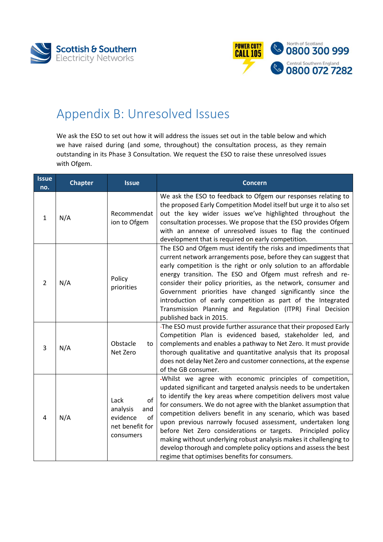



## <span id="page-53-0"></span>Appendix B: Unresolved Issues

We ask the ESO to set out how it will address the issues set out in the table below and which we have raised during (and some, throughout) the consultation process, as they remain outstanding in its Phase 3 Consultation. We request the ESO to raise these unresolved issues with Ofgem.

| <b>Issue</b><br>no. | <b>Chapter</b> | <b>Issue</b>                                                                    | <b>Concern</b>                                                                                                                                                                                                                                                                                                                                                                                                                                                                                                                                                                                                                                                  |
|---------------------|----------------|---------------------------------------------------------------------------------|-----------------------------------------------------------------------------------------------------------------------------------------------------------------------------------------------------------------------------------------------------------------------------------------------------------------------------------------------------------------------------------------------------------------------------------------------------------------------------------------------------------------------------------------------------------------------------------------------------------------------------------------------------------------|
| $\mathbf{1}$        | N/A            | Recommendat<br>ion to Ofgem                                                     | We ask the ESO to feedback to Ofgem our responses relating to<br>the proposed Early Competition Model itself but urge it to also set<br>out the key wider issues we've highlighted throughout the<br>consultation processes. We propose that the ESO provides Ofgem<br>with an annexe of unresolved issues to flag the continued<br>development that is required on early competition.                                                                                                                                                                                                                                                                          |
| 2                   | N/A            | Policy<br>priorities                                                            | The ESO and Ofgem must identify the risks and impediments that<br>current network arrangements pose, before they can suggest that<br>early competition is the right or only solution to an affordable<br>energy transition. The ESO and Ofgem must refresh and re-<br>consider their policy priorities, as the network, consumer and<br>Government priorities have changed significantly since the<br>introduction of early competition as part of the Integrated<br>Transmission Planning and Regulation (ITPR) Final Decision<br>published back in 2015.                                                                                                      |
| 3                   | N/A            | Obstacle<br>to<br>Net Zero                                                      | -The ESO must provide further assurance that their proposed Early<br>Competition Plan is evidenced based, stakeholder led, and<br>complements and enables a pathway to Net Zero. It must provide<br>thorough qualitative and quantitative analysis that its proposal<br>does not delay Net Zero and customer connections, at the expense<br>of the GB consumer.                                                                                                                                                                                                                                                                                                 |
| 4                   | N/A            | of<br>Lack<br>analysis<br>and<br>evidence<br>of<br>net benefit for<br>consumers | -Whilst we agree with economic principles of competition,<br>updated significant and targeted analysis needs to be undertaken<br>to identify the key areas where competition delivers most value<br>for consumers. We do not agree with the blanket assumption that<br>competition delivers benefit in any scenario, which was based<br>upon previous narrowly focused assessment, undertaken long<br>before Net Zero considerations or targets.<br>Principled policy<br>making without underlying robust analysis makes it challenging to<br>develop thorough and complete policy options and assess the best<br>regime that optimises benefits for consumers. |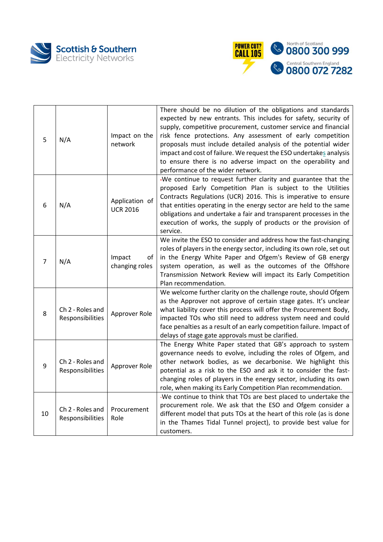



| 5              | N/A                                  | Impact on the<br>network          | There should be no dilution of the obligations and standards<br>expected by new entrants. This includes for safety, security of<br>supply, competitive procurement, customer service and financial<br>risk fence protections. Any assessment of early competition<br>proposals must include detailed analysis of the potential wider<br>impact and cost of failure. We request the ESO undertakes analysis<br>to ensure there is no adverse impact on the operability and<br>performance of the wider network. |
|----------------|--------------------------------------|-----------------------------------|----------------------------------------------------------------------------------------------------------------------------------------------------------------------------------------------------------------------------------------------------------------------------------------------------------------------------------------------------------------------------------------------------------------------------------------------------------------------------------------------------------------|
| 6              | N/A                                  | Application of<br><b>UCR 2016</b> | -We continue to request further clarity and guarantee that the<br>proposed Early Competition Plan is subject to the Utilities<br>Contracts Regulations (UCR) 2016. This is imperative to ensure<br>that entities operating in the energy sector are held to the same<br>obligations and undertake a fair and transparent processes in the<br>execution of works, the supply of products or the provision of<br>service.                                                                                        |
| $\overline{7}$ | N/A                                  | Impact<br>of<br>changing roles    | We invite the ESO to consider and address how the fast-changing<br>roles of players in the energy sector, including its own role, set out<br>in the Energy White Paper and Ofgem's Review of GB energy<br>system operation, as well as the outcomes of the Offshore<br>Transmission Network Review will impact its Early Competition<br>Plan recommendation.                                                                                                                                                   |
| 8              | Ch 2 - Roles and<br>Responsibilities | Approver Role                     | We welcome further clarity on the challenge route, should Ofgem<br>as the Approver not approve of certain stage gates. It's unclear<br>what liability cover this process will offer the Procurement Body,<br>impacted TOs who still need to address system need and could<br>face penalties as a result of an early competition failure. Impact of<br>delays of stage gate approvals must be clarified.                                                                                                        |
| 9              | Ch 2 - Roles and<br>Responsibilities | Approver Role                     | The Energy White Paper stated that GB's approach to system<br>governance needs to evolve, including the roles of Ofgem, and<br>other network bodies, as we decarbonise. We highlight this<br>potential as a risk to the ESO and ask it to consider the fast-<br>changing roles of players in the energy sector, including its own<br>role, when making its Early Competition Plan recommendation.                                                                                                              |
| 10             | Ch 2 - Roles and<br>Responsibilities | Procurement<br>Role               | -We continue to think that TOs are best placed to undertake the<br>procurement role. We ask that the ESO and Ofgem consider a<br>different model that puts TOs at the heart of this role (as is done<br>in the Thames Tidal Tunnel project), to provide best value for<br>customers.                                                                                                                                                                                                                           |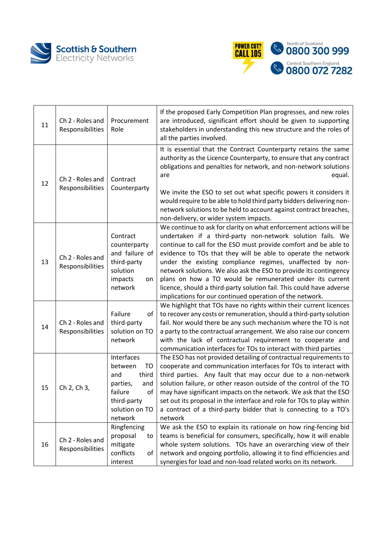



| 11 | Ch 2 - Roles and<br>Responsibilities | Procurement<br>Role                                                                                                         | If the proposed Early Competition Plan progresses, and new roles<br>are introduced, significant effort should be given to supporting<br>stakeholders in understanding this new structure and the roles of<br>all the parties involved.                                                                                                                                                                                                                                                                                                                                                                  |
|----|--------------------------------------|-----------------------------------------------------------------------------------------------------------------------------|---------------------------------------------------------------------------------------------------------------------------------------------------------------------------------------------------------------------------------------------------------------------------------------------------------------------------------------------------------------------------------------------------------------------------------------------------------------------------------------------------------------------------------------------------------------------------------------------------------|
| 12 | Ch 2 - Roles and<br>Responsibilities | Contract<br>Counterparty                                                                                                    | It is essential that the Contract Counterparty retains the same<br>authority as the Licence Counterparty, to ensure that any contract<br>obligations and penalties for network, and non-network solutions<br>equal.<br>are<br>We invite the ESO to set out what specific powers it considers it<br>would require to be able to hold third party bidders delivering non-<br>network solutions to be held to account against contract breaches,<br>non-delivery, or wider system impacts.                                                                                                                 |
| 13 | Ch 2 - Roles and<br>Responsibilities | Contract<br>counterparty<br>and failure of<br>third-party<br>solution<br>impacts<br>on<br>network                           | We continue to ask for clarity on what enforcement actions will be<br>undertaken if a third-party non-network solution fails. We<br>continue to call for the ESO must provide comfort and be able to<br>evidence to TOs that they will be able to operate the network<br>under the existing compliance regimes, unaffected by non-<br>network solutions. We also ask the ESO to provide its contingency<br>plans on how a TO would be remunerated under its current<br>licence, should a third-party solution fail. This could have adverse<br>implications for our continued operation of the network. |
| 14 | Ch 2 - Roles and<br>Responsibilities | Failure<br>of<br>third-party<br>solution on TO<br>network                                                                   | We highlight that TOs have no rights within their current licences<br>to recover any costs or remuneration, should a third-party solution<br>fail. Nor would there be any such mechanism where the TO is not<br>a party to the contractual arrangement. We also raise our concern<br>with the lack of contractual requirement to cooperate and<br>communication interfaces for TOs to interact with third parties                                                                                                                                                                                       |
| 15 | Ch 2, Ch 3,                          | Interfaces<br>between<br>TO<br>and<br>third<br>parties,<br>and<br>failure<br>οf<br>third-party<br>solution on TO<br>network | The ESO has not provided detailing of contractual requirements to<br>cooperate and communication interfaces for TOs to interact with<br>third parties. Any fault that may occur due to a non-network<br>solution failure, or other reason outside of the control of the TO<br>may have significant impacts on the network. We ask that the ESO<br>set out its proposal in the interface and role for TOs to play within<br>a contract of a third-party bidder that is connecting to a TO's<br>network                                                                                                   |
| 16 | Ch 2 - Roles and<br>Responsibilities | Ringfencing<br>proposal<br>to<br>mitigate<br>conflicts<br>of<br>interest                                                    | We ask the ESO to explain its rationale on how ring-fencing bid<br>teams is beneficial for consumers, specifically, how it will enable<br>whole system solutions. TOs have an overarching view of their<br>network and ongoing portfolio, allowing it to find efficiencies and<br>synergies for load and non-load related works on its network.                                                                                                                                                                                                                                                         |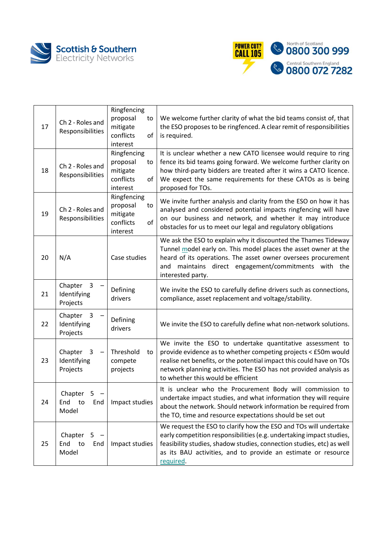



| 17 | Ch 2 - Roles and<br>Responsibilities    | Ringfencing<br>proposal<br>to<br>mitigate<br>conflicts<br>of<br>interest | We welcome further clarity of what the bid teams consist of, that<br>the ESO proposes to be ringfenced. A clear remit of responsibilities<br>is required.                                                                                                                                                      |
|----|-----------------------------------------|--------------------------------------------------------------------------|----------------------------------------------------------------------------------------------------------------------------------------------------------------------------------------------------------------------------------------------------------------------------------------------------------------|
| 18 | Ch 2 - Roles and<br>Responsibilities    | Ringfencing<br>proposal<br>to<br>mitigate<br>conflicts<br>of<br>interest | It is unclear whether a new CATO licensee would require to ring<br>fence its bid teams going forward. We welcome further clarity on<br>how third-party bidders are treated after it wins a CATO licence.<br>We expect the same requirements for these CATOs as is being<br>proposed for TOs.                   |
| 19 | Ch 2 - Roles and<br>Responsibilities    | Ringfencing<br>proposal<br>to<br>mitigate<br>conflicts<br>of<br>interest | We invite further analysis and clarity from the ESO on how it has<br>analysed and considered potential impacts ringfencing will have<br>on our business and network, and whether it may introduce<br>obstacles for us to meet our legal and regulatory obligations                                             |
| 20 | N/A                                     | Case studies                                                             | We ask the ESO to explain why it discounted the Thames Tideway<br>Tunnel model early on. This model places the asset owner at the<br>heard of its operations. The asset owner oversees procurement<br>maintains direct engagement/commitments with the<br>and<br>interested party.                             |
| 21 | Chapter<br>3<br>Identifying<br>Projects | Defining<br>drivers                                                      | We invite the ESO to carefully define drivers such as connections,<br>compliance, asset replacement and voltage/stability.                                                                                                                                                                                     |
| 22 | Chapter<br>3<br>Identifying<br>Projects | Defining<br>drivers                                                      | We invite the ESO to carefully define what non-network solutions.                                                                                                                                                                                                                                              |
| 23 | Chapter<br>3<br>Identifying<br>Projects | Threshold<br>to<br>compete<br>projects                                   | We invite the ESO to undertake quantitative assessment to<br>provide evidence as to whether competing projects < £50m would<br>realise net benefits, or the potential impact this could have on TOs<br>network planning activities. The ESO has not provided analysis as<br>to whether this would be efficient |
| 24 | Chapter<br>5.<br>End to<br>End<br>Model | Impact studies                                                           | It is unclear who the Procurement Body will commission to<br>undertake impact studies, and what information they will require<br>about the network. Should network information be required from<br>the TO, time and resource expectations should be set out                                                    |
| 25 | Chapter<br>5<br>End to<br>End<br>Model  | Impact studies                                                           | We request the ESO to clarify how the ESO and TOs will undertake<br>early competition responsibilities (e.g. undertaking impact studies,<br>feasibility studies, shadow studies, connection studies, etc) as well<br>as its BAU activities, and to provide an estimate or resource<br>required.                |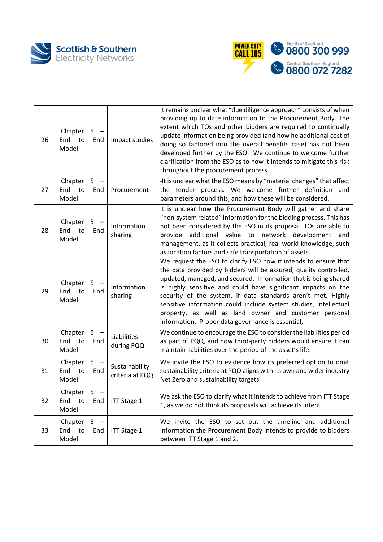



| 26 | Chapter<br>End<br>to<br>Model    | 5<br>$\overline{\phantom{a}}$<br>End | Impact studies                    | It remains unclear what "due diligence approach" consists of when<br>providing up to date information to the Procurement Body. The<br>extent which TOs and other bidders are required to continually<br>update information being provided (and how he additional cost of<br>doing so factored into the overall benefits case) has not been<br>developed further by the ESO. We continue to welcome further<br>clarification from the ESO as to how it intends to mitigate this risk<br>throughout the procurement process. |
|----|----------------------------------|--------------------------------------|-----------------------------------|----------------------------------------------------------------------------------------------------------------------------------------------------------------------------------------------------------------------------------------------------------------------------------------------------------------------------------------------------------------------------------------------------------------------------------------------------------------------------------------------------------------------------|
| 27 | Chapter<br>End to<br>Model       | 5<br>End                             | Procurement                       | -It is unclear what the ESO means by "material changes" that affect<br>the tender process. We welcome further definition and<br>parameters around this, and how these will be considered.                                                                                                                                                                                                                                                                                                                                  |
| 28 | Chapter<br>End<br>to<br>Model    | 5<br>End                             | Information<br>sharing            | It is unclear how the Procurement Body will gather and share<br>"non-system related" information for the bidding process. This has<br>not been considered by the ESO in its proposal. TOs are able to<br>additional value to network development and<br>provide<br>management, as it collects practical, real world knowledge, such<br>as location factors and safe transportation of assets.                                                                                                                              |
| 29 | Chapter<br>End<br>to<br>Model    | 5<br>End                             | Information<br>sharing            | We request the ESO to clarify ESO how it intends to ensure that<br>the data provided by bidders will be assured, quality controlled,<br>updated, managed, and secured. Information that is being shared<br>is highly sensitive and could have significant impacts on the<br>security of the system, if data standards aren't met. Highly<br>sensitive information could include system studies, intellectual<br>property, as well as land owner and customer personal<br>information. Proper data governance is essential, |
| 30 | Chapter<br>End to<br>Model       | $5 -$<br>End                         | Liabilities<br>during PQQ         | We continue to encourage the ESO to consider the liabilities period<br>as part of PQQ, and how third-party bidders would ensure it can<br>maintain liabilities over the period of the asset's life.                                                                                                                                                                                                                                                                                                                        |
| 31 | Chapter<br>End to<br>Model       | $5 -$<br>End                         | Sustainability<br>criteria at PQQ | We invite the ESO to evidence how its preferred option to omit<br>sustainability criteria at PQQ aligns with its own and wider industry<br>Net Zero and sustainability targets                                                                                                                                                                                                                                                                                                                                             |
| 32 | Chapter<br>End to<br>Model       | 5<br>End                             | <b>ITT Stage 1</b>                | We ask the ESO to clarify what it intends to achieve from ITT Stage<br>1, as we do not think its proposals will achieve its intent                                                                                                                                                                                                                                                                                                                                                                                         |
| 33 | Chapter $5 -$<br>End to<br>Model | End                                  | <b>ITT Stage 1</b>                | We invite the ESO to set out the timeline and additional<br>information the Procurement Body intends to provide to bidders<br>between ITT Stage 1 and 2.                                                                                                                                                                                                                                                                                                                                                                   |